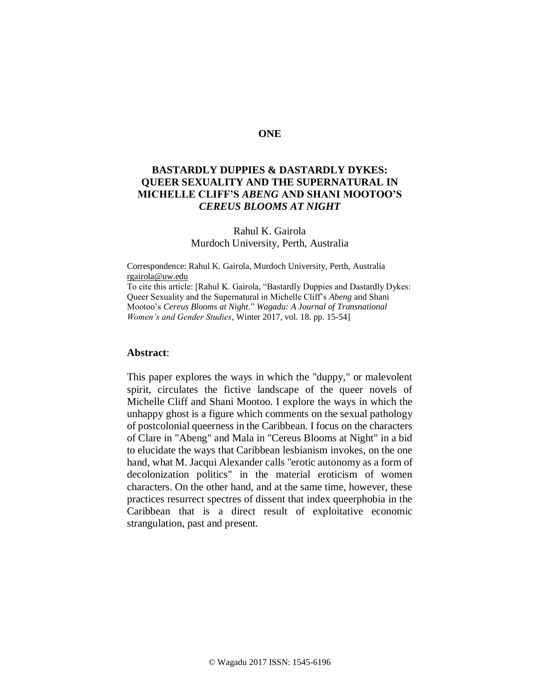## **ONE**

# **BASTARDLY DUPPIES & DASTARDLY DYKES: QUEER SEXUALITY AND THE SUPERNATURAL IN MICHELLE CLIFF'S** *ABENG* **AND SHANI MOOTOO'S**  *CEREUS BLOOMS AT NIGHT*

## Rahul K. Gairola Murdoch University, Perth, Australia

Correspondence: Rahul K. Gairola, Murdoch University, Perth, Australia [rgairola@uw.edu](file:///C:/Users/Rahul/Downloads/rgairola@uw.edu)

To cite this article: [Rahul K. Gairola, "Bastardly Duppies and Dastardly Dykes: Queer Sexuality and the Supernatural in Michelle Cliff's *Abeng* and Shani Mootoo's *Cereus Blooms at Night*." *Wagadu: A Journal of Transnational Women's and Gender Studies*, Winter 2017, vol. 18. pp. 15-54]

#### **Abstract**:

This paper explores the ways in which the "duppy," or malevolent spirit, circulates the fictive landscape of the queer novels of Michelle Cliff and Shani Mootoo. I explore the ways in which the unhappy ghost is a figure which comments on the sexual pathology of postcolonial queerness in the Caribbean. I focus on the characters of Clare in "Abeng" and Mala in "Cereus Blooms at Night" in a bid to elucidate the ways that Caribbean lesbianism invokes, on the one hand, what M. Jacqui Alexander calls "erotic autonomy as a form of decolonization politics" in the material eroticism of women characters. On the other hand, and at the same time, however, these practices resurrect spectres of dissent that index queerphobia in the Caribbean that is a direct result of exploitative economic strangulation, past and present.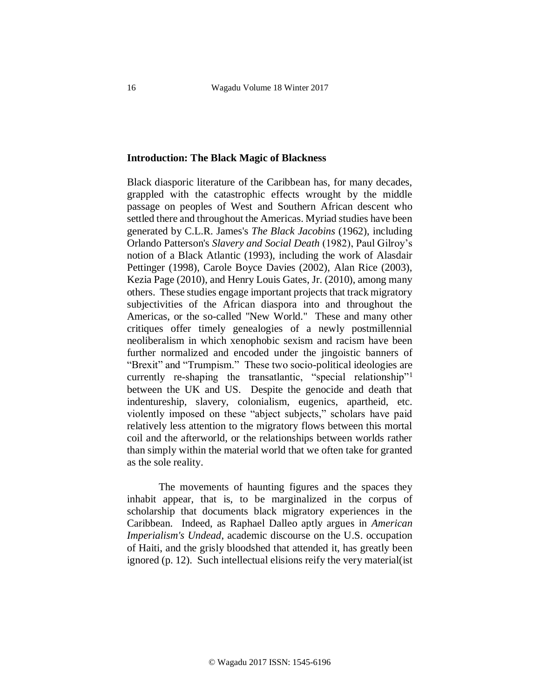#### **Introduction: The Black Magic of Blackness**

Black diasporic literature of the Caribbean has, for many decades, grappled with the catastrophic effects wrought by the middle passage on peoples of West and Southern African descent who settled there and throughout the Americas. Myriad studies have been generated by C.L.R. James's *The Black Jacobins* (1962), including Orlando Patterson's *Slavery and Social Death* (1982), Paul Gilroy's notion of a Black Atlantic (1993), including the work of Alasdair Pettinger (1998), Carole Boyce Davies (2002), Alan Rice (2003), Kezia Page (2010), and Henry Louis Gates, Jr. (2010), among many others. These studies engage important projects that track migratory subjectivities of the African diaspora into and throughout the Americas, or the so-called "New World." These and many other critiques offer timely genealogies of a newly postmillennial neoliberalism in which xenophobic sexism and racism have been further normalized and encoded under the jingoistic banners of "Brexit" and "Trumpism." These two socio-political ideologies are currently re-shaping the transatlantic, "special relationship"<sup>1</sup> between the UK and US. Despite the genocide and death that indentureship, slavery, colonialism, eugenics, apartheid, etc. violently imposed on these "abject subjects," scholars have paid relatively less attention to the migratory flows between this mortal coil and the afterworld, or the relationships between worlds rather than simply within the material world that we often take for granted as the sole reality.

The movements of haunting figures and the spaces they inhabit appear, that is, to be marginalized in the corpus of scholarship that documents black migratory experiences in the Caribbean. Indeed, as Raphael Dalleo aptly argues in *American Imperialism's Undead*, academic discourse on the U.S. occupation of Haiti, and the grisly bloodshed that attended it, has greatly been ignored (p. 12). Such intellectual elisions reify the very material(ist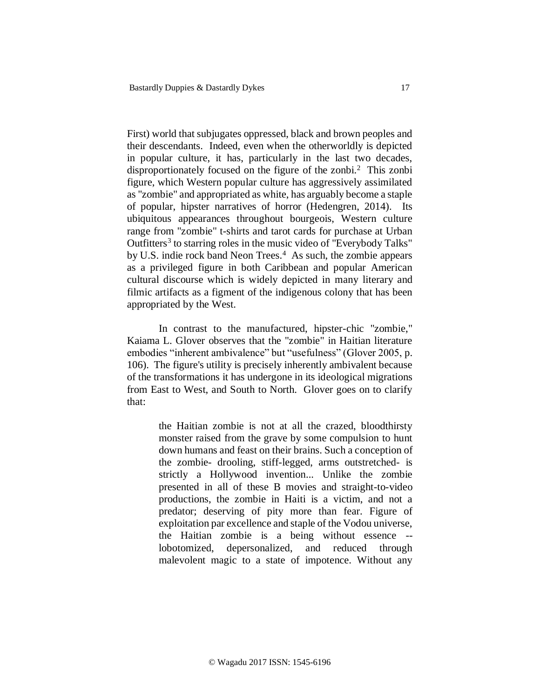First) world that subjugates oppressed, black and brown peoples and their descendants. Indeed, even when the otherworldly is depicted in popular culture, it has, particularly in the last two decades, disproportionately focused on the figure of the zonbi. 2 This zonbi figure, which Western popular culture has aggressively assimilated as "zombie" and appropriated as white, has arguably become a staple of popular, hipster narratives of horror (Hedengren, 2014). Its ubiquitous appearances throughout bourgeois, Western culture range from "zombie" t-shirts and tarot cards for purchase at Urban Outfitters<sup>3</sup> to starring roles in the music video of "Everybody Talks" by U.S. indie rock band Neon Trees.<sup>4</sup> As such, the zombie appears as a privileged figure in both Caribbean and popular American cultural discourse which is widely depicted in many literary and filmic artifacts as a figment of the indigenous colony that has been appropriated by the West.

In contrast to the manufactured, hipster-chic "zombie," Kaiama L. Glover observes that the "zombie" in Haitian literature embodies "inherent ambivalence" but "usefulness" (Glover 2005, p. 106). The figure's utility is precisely inherently ambivalent because of the transformations it has undergone in its ideological migrations from East to West, and South to North. Glover goes on to clarify that:

> the Haitian zombie is not at all the crazed, bloodthirsty monster raised from the grave by some compulsion to hunt down humans and feast on their brains. Such a conception of the zombie- drooling, stiff-legged, arms outstretched- is strictly a Hollywood invention... Unlike the zombie presented in all of these B movies and straight-to-video productions, the zombie in Haiti is a victim, and not a predator; deserving of pity more than fear. Figure of exploitation par excellence and staple of the Vodou universe, the Haitian zombie is a being without essence - lobotomized, depersonalized, and reduced through malevolent magic to a state of impotence. Without any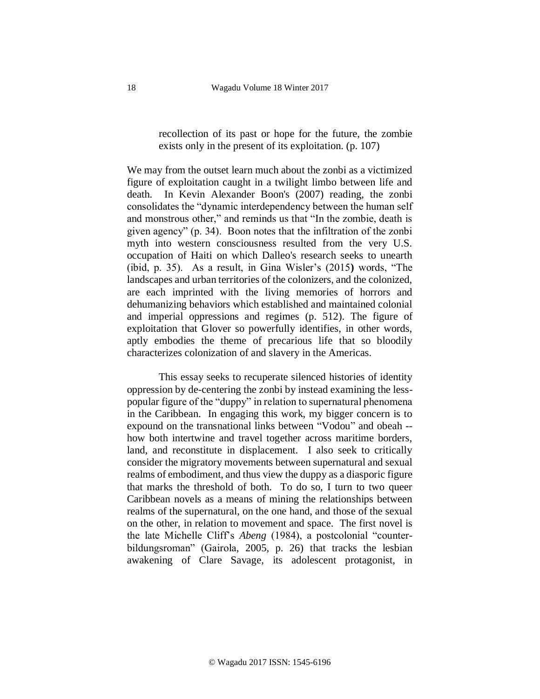recollection of its past or hope for the future, the zombie exists only in the present of its exploitation. (p. 107)

We may from the outset learn much about the zonbi as a victimized figure of exploitation caught in a twilight limbo between life and death. In Kevin Alexander Boon's (2007) reading, the zonbi consolidates the "dynamic interdependency between the human self and monstrous other," and reminds us that "In the zombie, death is given agency" (p. 34). Boon notes that the infiltration of the zonbi myth into western consciousness resulted from the very U.S. occupation of Haiti on which Dalleo's research seeks to unearth (ibid, p. 35). As a result, in Gina Wisler's (2015**)** words, "The landscapes and urban territories of the colonizers, and the colonized, are each imprinted with the living memories of horrors and dehumanizing behaviors which established and maintained colonial and imperial oppressions and regimes (p. 512). The figure of exploitation that Glover so powerfully identifies, in other words, aptly embodies the theme of precarious life that so bloodily characterizes colonization of and slavery in the Americas.

This essay seeks to recuperate silenced histories of identity oppression by de-centering the zonbi by instead examining the lesspopular figure of the "duppy" in relation to supernatural phenomena in the Caribbean. In engaging this work, my bigger concern is to expound on the transnational links between "Vodou" and obeah - how both intertwine and travel together across maritime borders, land, and reconstitute in displacement. I also seek to critically consider the migratory movements between supernatural and sexual realms of embodiment, and thus view the duppy as a diasporic figure that marks the threshold of both. To do so, I turn to two queer Caribbean novels as a means of mining the relationships between realms of the supernatural, on the one hand, and those of the sexual on the other, in relation to movement and space. The first novel is the late Michelle Cliff's *Abeng* (1984), a postcolonial "counterbildungsroman" (Gairola, 2005, p. 26) that tracks the lesbian awakening of Clare Savage, its adolescent protagonist, in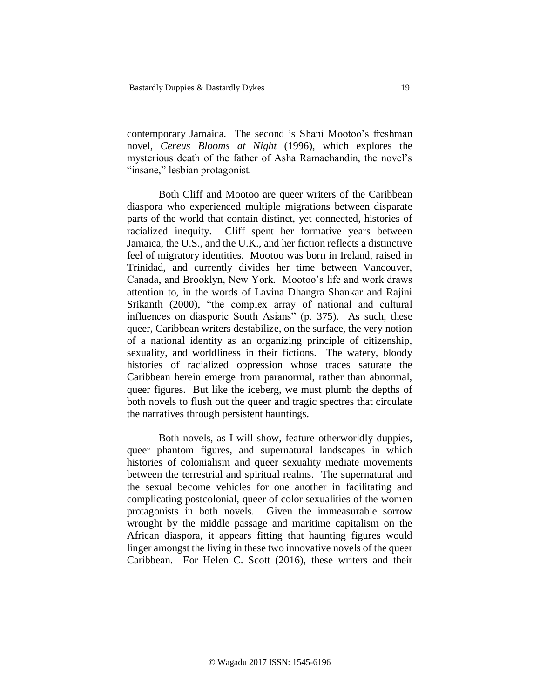contemporary Jamaica. The second is Shani Mootoo's freshman novel, *Cereus Blooms at Night* (1996), which explores the mysterious death of the father of Asha Ramachandin, the novel's "insane," lesbian protagonist.

Both Cliff and Mootoo are queer writers of the Caribbean diaspora who experienced multiple migrations between disparate parts of the world that contain distinct, yet connected, histories of racialized inequity. Cliff spent her formative years between Jamaica, the U.S., and the U.K., and her fiction reflects a distinctive feel of migratory identities. Mootoo was born in Ireland, raised in Trinidad, and currently divides her time between Vancouver, Canada, and Brooklyn, New York. Mootoo's life and work draws attention to, in the words of Lavina Dhangra Shankar and Rajini Srikanth (2000), "the complex array of national and cultural influences on diasporic South Asians" (p. 375). As such, these queer, Caribbean writers destabilize, on the surface, the very notion of a national identity as an organizing principle of citizenship, sexuality, and worldliness in their fictions. The watery, bloody histories of racialized oppression whose traces saturate the Caribbean herein emerge from paranormal, rather than abnormal, queer figures. But like the iceberg, we must plumb the depths of both novels to flush out the queer and tragic spectres that circulate the narratives through persistent hauntings.

Both novels, as I will show, feature otherworldly duppies, queer phantom figures, and supernatural landscapes in which histories of colonialism and queer sexuality mediate movements between the terrestrial and spiritual realms. The supernatural and the sexual become vehicles for one another in facilitating and complicating postcolonial, queer of color sexualities of the women protagonists in both novels. Given the immeasurable sorrow wrought by the middle passage and maritime capitalism on the African diaspora, it appears fitting that haunting figures would linger amongst the living in these two innovative novels of the queer Caribbean. For Helen C. Scott (2016), these writers and their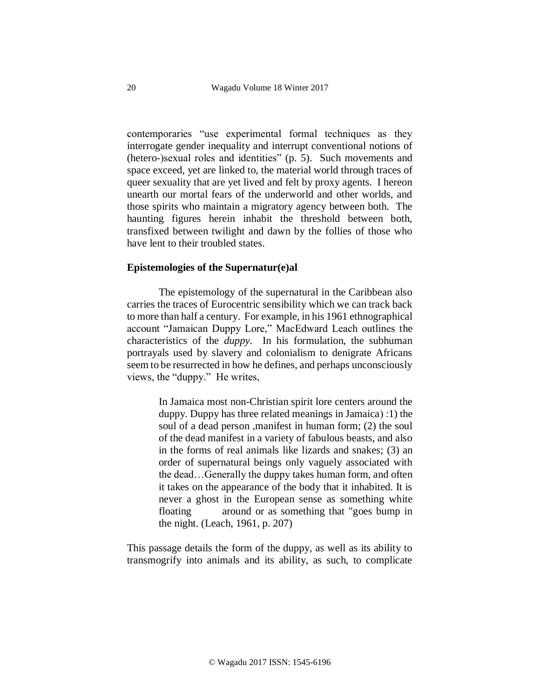contemporaries "use experimental formal techniques as they interrogate gender inequality and interrupt conventional notions of (hetero-)sexual roles and identities" (p. 5). Such movements and space exceed, yet are linked to, the material world through traces of queer sexuality that are yet lived and felt by proxy agents. I hereon unearth our mortal fears of the underworld and other worlds, and those spirits who maintain a migratory agency between both. The haunting figures herein inhabit the threshold between both, transfixed between twilight and dawn by the follies of those who have lent to their troubled states.

## **Epistemologies of the Supernatur(e)al**

The epistemology of the supernatural in the Caribbean also carries the traces of Eurocentric sensibility which we can track back to more than half a century. For example, in his 1961 ethnographical account "Jamaican Duppy Lore," MacEdward Leach outlines the characteristics of the *duppy*. In his formulation, the subhuman portrayals used by slavery and colonialism to denigrate Africans seem to be resurrected in how he defines, and perhaps unconsciously views, the "duppy." He writes,

> In Jamaica most non-Christian spirit lore centers around the duppy. Duppy has three related meanings in Jamaica $( 1)$  the soul of a dead person ,manifest in human form; (2) the soul of the dead manifest in a variety of fabulous beasts, and also in the forms of real animals like lizards and snakes; (3) an order of supernatural beings only vaguely associated with the dead…Generally the duppy takes human form, and often it takes on the appearance of the body that it inhabited. It is never a ghost in the European sense as something white floating around or as something that "goes bump in the night. (Leach, 1961, p. 207)

This passage details the form of the duppy, as well as its ability to transmogrify into animals and its ability, as such, to complicate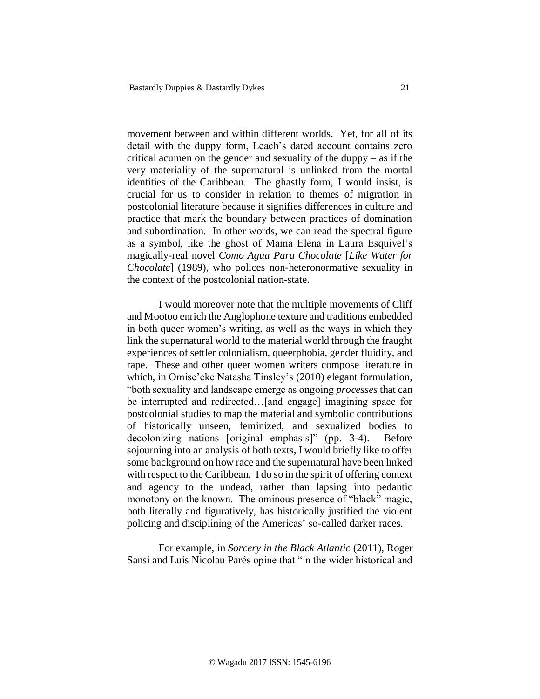movement between and within different worlds. Yet, for all of its detail with the duppy form, Leach's dated account contains zero critical acumen on the gender and sexuality of the duppy – as if the very materiality of the supernatural is unlinked from the mortal identities of the Caribbean. The ghastly form, I would insist, is crucial for us to consider in relation to themes of migration in postcolonial literature because it signifies differences in culture and practice that mark the boundary between practices of domination and subordination. In other words, we can read the spectral figure as a symbol, like the ghost of Mama Elena in Laura Esquivel's magically-real novel *Como Agua Para Chocolate* [*Like Water for Chocolate*] (1989), who polices non-heteronormative sexuality in the context of the postcolonial nation-state.

I would moreover note that the multiple movements of Cliff and Mootoo enrich the Anglophone texture and traditions embedded in both queer women's writing, as well as the ways in which they link the supernatural world to the material world through the fraught experiences of settler colonialism, queerphobia, gender fluidity, and rape. These and other queer women writers compose literature in which, in Omise'eke Natasha Tinsley's (2010) elegant formulation, "both sexuality and landscape emerge as ongoing *processes* that can be interrupted and redirected... [and engage] imagining space for postcolonial studies to map the material and symbolic contributions of historically unseen, feminized, and sexualized bodies to decolonizing nations [original emphasis]" (pp. 3-4). Before sojourning into an analysis of both texts, I would briefly like to offer some background on how race and the supernatural have been linked with respect to the Caribbean. I do so in the spirit of offering context and agency to the undead, rather than lapsing into pedantic monotony on the known. The ominous presence of "black" magic, both literally and figuratively, has historically justified the violent policing and disciplining of the Americas' so-called darker races.

For example, in *Sorcery in the Black Atlantic* (2011), Roger Sansi and Luis Nicolau Parés opine that "in the wider historical and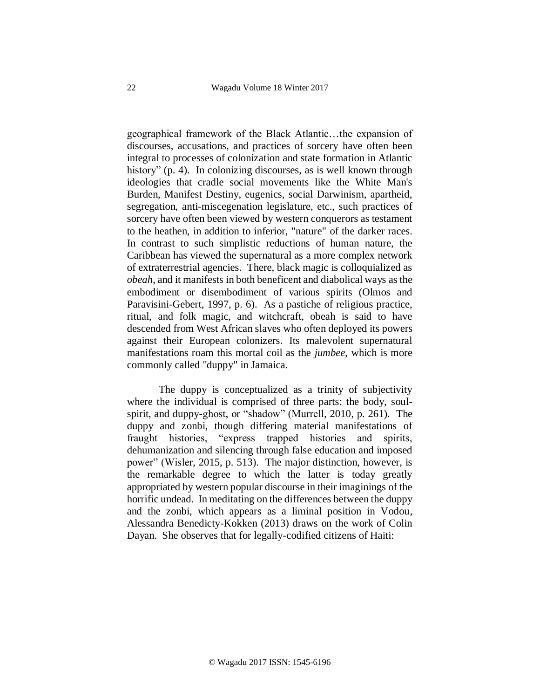geographical framework of the Black Atlantic…the expansion of discourses, accusations, and practices of sorcery have often been integral to processes of colonization and state formation in Atlantic history" (p. 4). In colonizing discourses, as is well known through ideologies that cradle social movements like the White Man's Burden, Manifest Destiny, eugenics, social Darwinism, apartheid, segregation, anti-miscegenation legislature, etc., such practices of sorcery have often been viewed by western conquerors as testament to the heathen, in addition to inferior, "nature" of the darker races. In contrast to such simplistic reductions of human nature, the Caribbean has viewed the supernatural as a more complex network of extraterrestrial agencies. There, black magic is colloquialized as *obeah*, and it manifests in both beneficent and diabolical ways as the embodiment or disembodiment of various spirits (Olmos and Paravisini-Gebert, 1997, p. 6). As a pastiche of religious practice, ritual, and folk magic, and witchcraft, obeah is said to have descended from West African slaves who often deployed its powers against their European colonizers. Its malevolent supernatural manifestations roam this mortal coil as the *jumbee*, which is more commonly called "duppy" in Jamaica.

The duppy is conceptualized as a trinity of subjectivity where the individual is comprised of three parts: the body, soulspirit, and duppy-ghost, or "shadow" (Murrell, 2010, p. 261). The duppy and zonbi, though differing material manifestations of fraught histories, "express trapped histories and spirits, dehumanization and silencing through false education and imposed power" (Wisler, 2015, p. 513). The major distinction, however, is the remarkable degree to which the latter is today greatly appropriated by western popular discourse in their imaginings of the horrific undead. In meditating on the differences between the duppy and the zonbi, which appears as a liminal position in Vodou, Alessandra Benedicty-Kokken (2013) draws on the work of Colin Dayan. She observes that for legally-codified citizens of Haiti: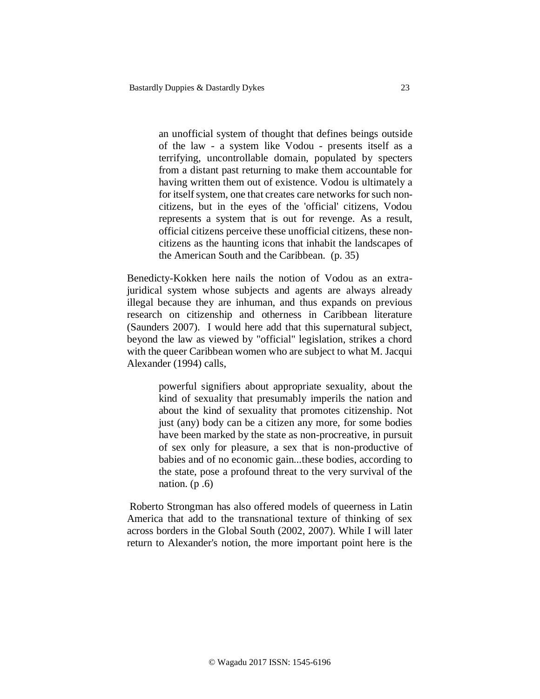an unofficial system of thought that defines beings outside of the law - a system like Vodou - presents itself as a terrifying, uncontrollable domain, populated by specters from a distant past returning to make them accountable for having written them out of existence. Vodou is ultimately a for itself system, one that creates care networks for such noncitizens, but in the eyes of the 'official' citizens, Vodou represents a system that is out for revenge. As a result, official citizens perceive these unofficial citizens, these noncitizens as the haunting icons that inhabit the landscapes of the American South and the Caribbean. (p. 35)

Benedicty-Kokken here nails the notion of Vodou as an extrajuridical system whose subjects and agents are always already illegal because they are inhuman, and thus expands on previous research on citizenship and otherness in Caribbean literature (Saunders 2007). I would here add that this supernatural subject, beyond the law as viewed by "official" legislation, strikes a chord with the queer Caribbean women who are subject to what M. Jacqui Alexander (1994) calls,

> powerful signifiers about appropriate sexuality, about the kind of sexuality that presumably imperils the nation and about the kind of sexuality that promotes citizenship. Not just (any) body can be a citizen any more, for some bodies have been marked by the state as non-procreative, in pursuit of sex only for pleasure, a sex that is non-productive of babies and of no economic gain...these bodies, according to the state, pose a profound threat to the very survival of the nation.  $(p.6)$

Roberto Strongman has also offered models of queerness in Latin America that add to the transnational texture of thinking of sex across borders in the Global South (2002, 2007). While I will later return to Alexander's notion, the more important point here is the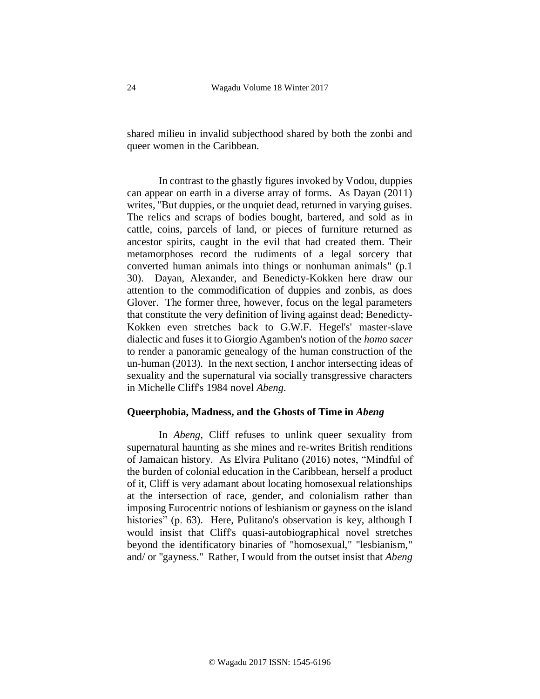shared milieu in invalid subjecthood shared by both the zonbi and queer women in the Caribbean.

In contrast to the ghastly figures invoked by Vodou, duppies can appear on earth in a diverse array of forms. As Dayan (2011) writes, "But duppies, or the unquiet dead, returned in varying guises. The relics and scraps of bodies bought, bartered, and sold as in cattle, coins, parcels of land, or pieces of furniture returned as ancestor spirits, caught in the evil that had created them. Their metamorphoses record the rudiments of a legal sorcery that converted human animals into things or nonhuman animals" (p.1 30). Dayan, Alexander, and Benedicty-Kokken here draw our attention to the commodification of duppies and zonbis, as does Glover. The former three, however, focus on the legal parameters that constitute the very definition of living against dead; Benedicty-Kokken even stretches back to G.W.F. Hegel's' master-slave dialectic and fuses it to Giorgio Agamben's notion of the *homo sacer* to render a panoramic genealogy of the human construction of the un-human (2013). In the next section, I anchor intersecting ideas of sexuality and the supernatural via socially transgressive characters in Michelle Cliff's 1984 novel *Abeng*.

#### **Queerphobia, Madness, and the Ghosts of Time in** *Abeng*

In *Abeng*, Cliff refuses to unlink queer sexuality from supernatural haunting as she mines and re-writes British renditions of Jamaican history. As Elvira Pulitano (2016) notes, "Mindful of the burden of colonial education in the Caribbean, herself a product of it, Cliff is very adamant about locating homosexual relationships at the intersection of race, gender, and colonialism rather than imposing Eurocentric notions of lesbianism or gayness on the island histories" (p. 63). Here, Pulitano's observation is key, although I would insist that Cliff's quasi-autobiographical novel stretches beyond the identificatory binaries of "homosexual," "lesbianism," and/ or "gayness." Rather, I would from the outset insist that *Abeng*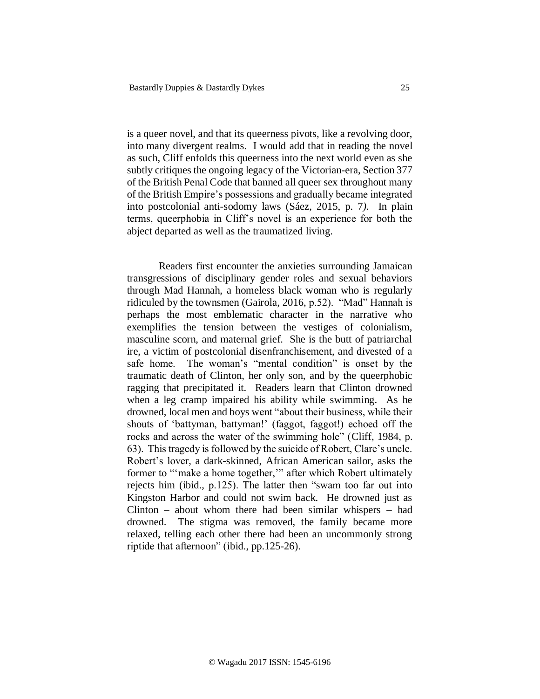is a queer novel, and that its queerness pivots, like a revolving door, into many divergent realms. I would add that in reading the novel as such, Cliff enfolds this queerness into the next world even as she subtly critiques the ongoing legacy of the Victorian-era, Section 377 of the British Penal Code that banned all queer sex throughout many of the British Empire's possessions and gradually became integrated into postcolonial anti-sodomy laws (Sáez, 2015, p. 7*).* In plain terms, queerphobia in Cliff's novel is an experience for both the abject departed as well as the traumatized living.

Readers first encounter the anxieties surrounding Jamaican transgressions of disciplinary gender roles and sexual behaviors through Mad Hannah, a homeless black woman who is regularly ridiculed by the townsmen (Gairola, 2016, p.52). "Mad" Hannah is perhaps the most emblematic character in the narrative who exemplifies the tension between the vestiges of colonialism, masculine scorn, and maternal grief. She is the butt of patriarchal ire, a victim of postcolonial disenfranchisement, and divested of a safe home. The woman's "mental condition" is onset by the traumatic death of Clinton, her only son, and by the queerphobic ragging that precipitated it. Readers learn that Clinton drowned when a leg cramp impaired his ability while swimming. As he drowned, local men and boys went "about their business, while their shouts of 'battyman, battyman!' (faggot, faggot!) echoed off the rocks and across the water of the swimming hole" (Cliff, 1984, p. 63). This tragedy is followed by the suicide of Robert, Clare's uncle. Robert's lover, a dark-skinned, African American sailor, asks the former to "'make a home together,'" after which Robert ultimately rejects him (ibid., p.125). The latter then "swam too far out into Kingston Harbor and could not swim back. He drowned just as Clinton – about whom there had been similar whispers – had drowned. The stigma was removed, the family became more relaxed, telling each other there had been an uncommonly strong riptide that afternoon" (ibid., pp.125-26).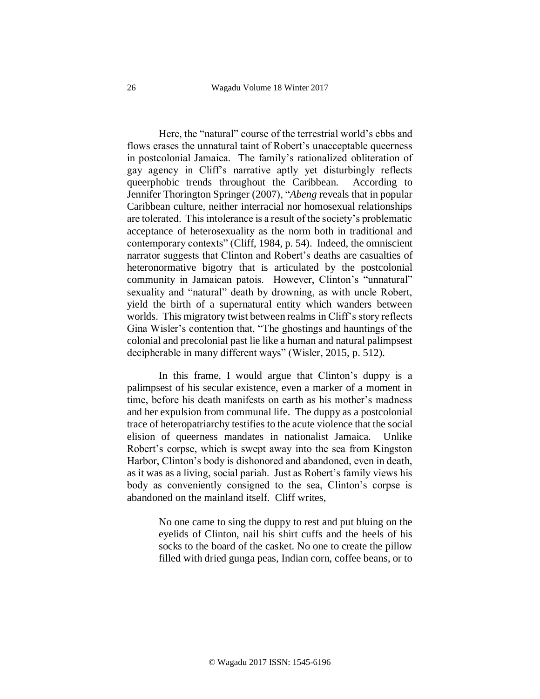Here, the "natural" course of the terrestrial world's ebbs and flows erases the unnatural taint of Robert's unacceptable queerness in postcolonial Jamaica. The family's rationalized obliteration of gay agency in Cliff's narrative aptly yet disturbingly reflects queerphobic trends throughout the Caribbean. According to Jennifer Thorington Springer (2007), "*Abeng* reveals that in popular Caribbean culture, neither interracial nor homosexual relationships are tolerated. This intolerance is a result of the society's problematic acceptance of heterosexuality as the norm both in traditional and contemporary contexts" (Cliff, 1984, p. 54). Indeed, the omniscient narrator suggests that Clinton and Robert's deaths are casualties of heteronormative bigotry that is articulated by the postcolonial community in Jamaican patois. However, Clinton's "unnatural" sexuality and "natural" death by drowning, as with uncle Robert, yield the birth of a supernatural entity which wanders between worlds. This migratory twist between realms in Cliff's story reflects Gina Wisler's contention that, "The ghostings and hauntings of the colonial and precolonial past lie like a human and natural palimpsest decipherable in many different ways" (Wisler, 2015, p. 512).

In this frame, I would argue that Clinton's duppy is a palimpsest of his secular existence, even a marker of a moment in time, before his death manifests on earth as his mother's madness and her expulsion from communal life. The duppy as a postcolonial trace of heteropatriarchy testifies to the acute violence that the social elision of queerness mandates in nationalist Jamaica. Unlike Robert's corpse, which is swept away into the sea from Kingston Harbor, Clinton's body is dishonored and abandoned, even in death, as it was as a living, social pariah. Just as Robert's family views his body as conveniently consigned to the sea, Clinton's corpse is abandoned on the mainland itself. Cliff writes,

> No one came to sing the duppy to rest and put bluing on the eyelids of Clinton, nail his shirt cuffs and the heels of his socks to the board of the casket. No one to create the pillow filled with dried gunga peas, Indian corn, coffee beans, or to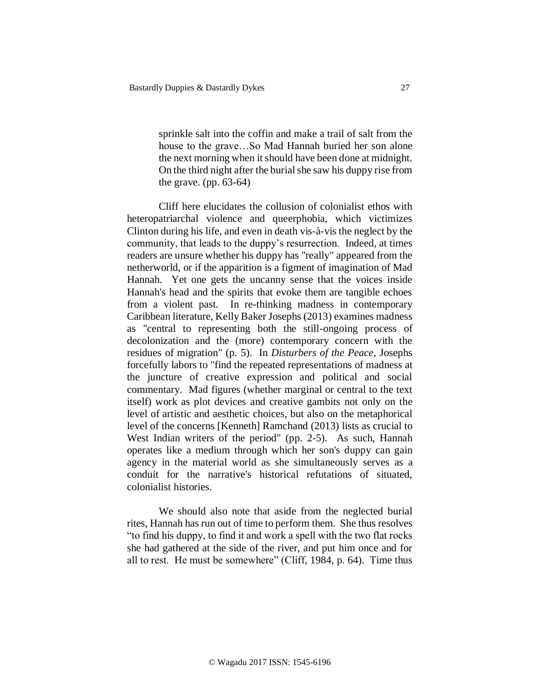sprinkle salt into the coffin and make a trail of salt from the house to the grave…So Mad Hannah buried her son alone the next morning when it should have been done at midnight. On the third night after the burial she saw his duppy rise from the grave. (pp.  $63-64$ )

Cliff here elucidates the collusion of colonialist ethos with heteropatriarchal violence and queerphobia, which victimizes Clinton during his life, and even in death vis-à-vis the neglect by the community, that leads to the duppy's resurrection. Indeed, at times readers are unsure whether his duppy has "really" appeared from the netherworld, or if the apparition is a figment of imagination of Mad Hannah. Yet one gets the uncanny sense that the voices inside Hannah's head and the spirits that evoke them are tangible echoes from a violent past. In re-thinking madness in contemporary Caribbean literature, Kelly Baker Josephs (2013) examines madness as "central to representing both the still-ongoing process of decolonization and the (more) contemporary concern with the residues of migration" (p. 5). In *Disturbers of the Peace*, Josephs forcefully labors to "find the repeated representations of madness at the juncture of creative expression and political and social commentary. Mad figures (whether marginal or central to the text itself) work as plot devices and creative gambits not only on the level of artistic and aesthetic choices, but also on the metaphorical level of the concerns [Kenneth] Ramchand (2013) lists as crucial to West Indian writers of the period" (pp. 2-5). As such, Hannah operates like a medium through which her son's duppy can gain agency in the material world as she simultaneously serves as a conduit for the narrative's historical refutations of situated, colonialist histories.

We should also note that aside from the neglected burial rites, Hannah has run out of time to perform them. She thus resolves "to find his duppy, to find it and work a spell with the two flat rocks she had gathered at the side of the river, and put him once and for all to rest. He must be somewhere" (Cliff, 1984, p. 64). Time thus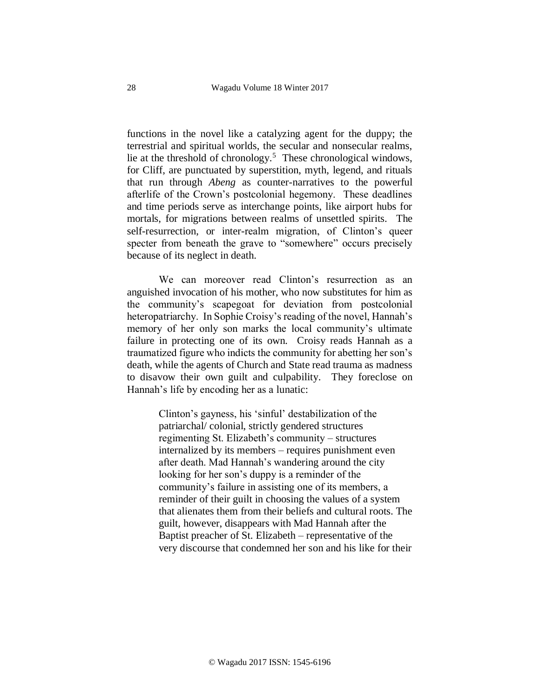functions in the novel like a catalyzing agent for the duppy; the terrestrial and spiritual worlds, the secular and nonsecular realms, lie at the threshold of chronology.<sup>5</sup> These chronological windows, for Cliff, are punctuated by superstition, myth, legend, and rituals that run through *Abeng* as counter-narratives to the powerful afterlife of the Crown's postcolonial hegemony. These deadlines and time periods serve as interchange points, like airport hubs for mortals, for migrations between realms of unsettled spirits. The self-resurrection, or inter-realm migration, of Clinton's queer specter from beneath the grave to "somewhere" occurs precisely because of its neglect in death.

We can moreover read Clinton's resurrection as an anguished invocation of his mother, who now substitutes for him as the community's scapegoat for deviation from postcolonial heteropatriarchy. In Sophie Croisy's reading of the novel, Hannah's memory of her only son marks the local community's ultimate failure in protecting one of its own. Croisy reads Hannah as a traumatized figure who indicts the community for abetting her son's death, while the agents of Church and State read trauma as madness to disavow their own guilt and culpability. They foreclose on Hannah's life by encoding her as a lunatic:

> Clinton's gayness, his 'sinful' destabilization of the patriarchal/ colonial, strictly gendered structures regimenting St. Elizabeth's community – structures internalized by its members – requires punishment even after death. Mad Hannah's wandering around the city looking for her son's duppy is a reminder of the community's failure in assisting one of its members, a reminder of their guilt in choosing the values of a system that alienates them from their beliefs and cultural roots. The guilt, however, disappears with Mad Hannah after the Baptist preacher of St. Elizabeth – representative of the very discourse that condemned her son and his like for their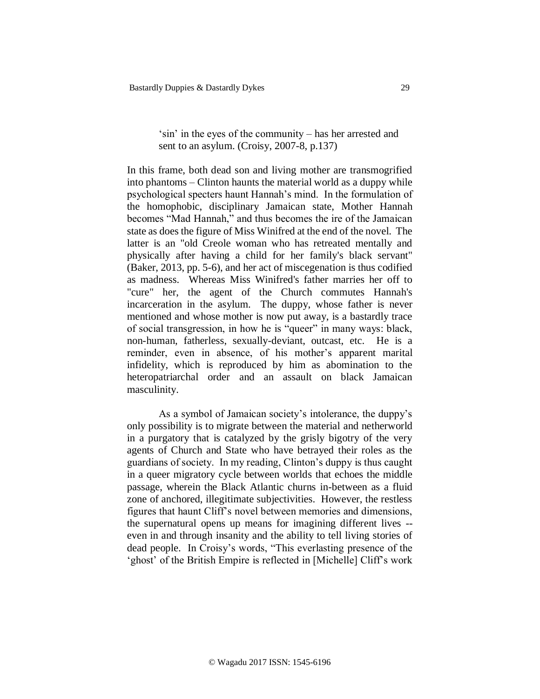## 'sin' in the eyes of the community – has her arrested and sent to an asylum. (Croisy, 2007-8, p.137)

In this frame, both dead son and living mother are transmogrified into phantoms – Clinton haunts the material world as a duppy while psychological specters haunt Hannah's mind. In the formulation of the homophobic, disciplinary Jamaican state, Mother Hannah becomes "Mad Hannah," and thus becomes the ire of the Jamaican state as does the figure of Miss Winifred at the end of the novel. The latter is an "old Creole woman who has retreated mentally and physically after having a child for her family's black servant" (Baker, 2013, pp. 5-6), and her act of miscegenation is thus codified as madness. Whereas Miss Winifred's father marries her off to "cure" her, the agent of the Church commutes Hannah's incarceration in the asylum. The duppy, whose father is never mentioned and whose mother is now put away, is a bastardly trace of social transgression, in how he is "queer" in many ways: black, non-human, fatherless, sexually-deviant, outcast, etc. He is a reminder, even in absence, of his mother's apparent marital infidelity, which is reproduced by him as abomination to the heteropatriarchal order and an assault on black Jamaican masculinity.

As a symbol of Jamaican society's intolerance, the duppy's only possibility is to migrate between the material and netherworld in a purgatory that is catalyzed by the grisly bigotry of the very agents of Church and State who have betrayed their roles as the guardians of society. In my reading, Clinton's duppy is thus caught in a queer migratory cycle between worlds that echoes the middle passage, wherein the Black Atlantic churns in-between as a fluid zone of anchored, illegitimate subjectivities. However, the restless figures that haunt Cliff's novel between memories and dimensions, the supernatural opens up means for imagining different lives - even in and through insanity and the ability to tell living stories of dead people. In Croisy's words, "This everlasting presence of the 'ghost' of the British Empire is reflected in [Michelle] Cliff's work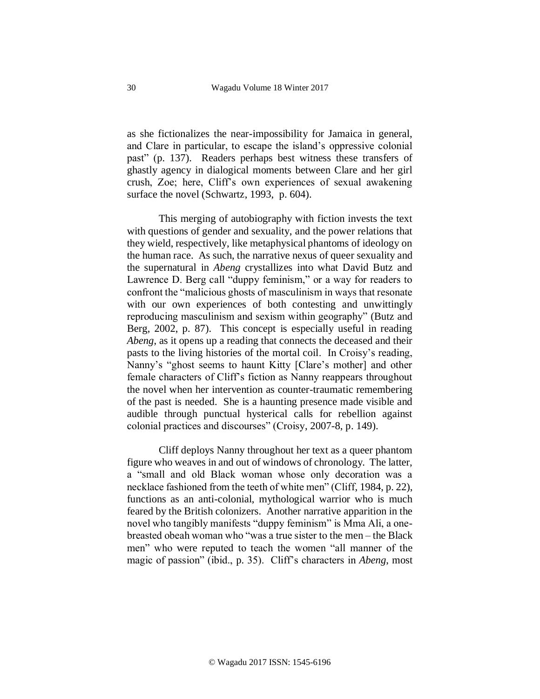as she fictionalizes the near-impossibility for Jamaica in general, and Clare in particular, to escape the island's oppressive colonial past" (p. 137). Readers perhaps best witness these transfers of ghastly agency in dialogical moments between Clare and her girl crush, Zoe; here, Cliff's own experiences of sexual awakening surface the novel (Schwartz, 1993, p. 604).

This merging of autobiography with fiction invests the text with questions of gender and sexuality, and the power relations that they wield, respectively, like metaphysical phantoms of ideology on the human race. As such, the narrative nexus of queer sexuality and the supernatural in *Abeng* crystallizes into what David Butz and Lawrence D. Berg call "duppy feminism," or a way for readers to confront the "malicious ghosts of masculinism in ways that resonate with our own experiences of both contesting and unwittingly reproducing masculinism and sexism within geography" (Butz and Berg, 2002, p. 87). This concept is especially useful in reading *Abeng*, as it opens up a reading that connects the deceased and their pasts to the living histories of the mortal coil. In Croisy's reading, Nanny's "ghost seems to haunt Kitty [Clare's mother] and other female characters of Cliff's fiction as Nanny reappears throughout the novel when her intervention as counter-traumatic remembering of the past is needed. She is a haunting presence made visible and audible through punctual hysterical calls for rebellion against colonial practices and discourses" (Croisy, 2007-8, p. 149).

Cliff deploys Nanny throughout her text as a queer phantom figure who weaves in and out of windows of chronology. The latter, a "small and old Black woman whose only decoration was a necklace fashioned from the teeth of white men" (Cliff, 1984, p. 22), functions as an anti-colonial, mythological warrior who is much feared by the British colonizers. Another narrative apparition in the novel who tangibly manifests "duppy feminism" is Mma Ali, a onebreasted obeah woman who "was a true sister to the men – the Black men" who were reputed to teach the women "all manner of the magic of passion" (ibid., p. 35). Cliff's characters in *Abeng*, most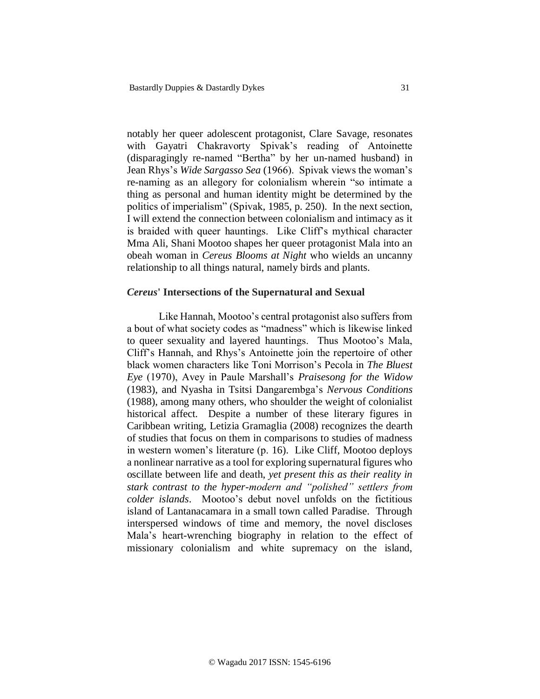notably her queer adolescent protagonist, Clare Savage, resonates with Gayatri Chakravorty Spivak's reading of Antoinette (disparagingly re-named "Bertha" by her un-named husband) in Jean Rhys's *Wide Sargasso Sea* (1966). Spivak views the woman's re-naming as an allegory for colonialism wherein "so intimate a thing as personal and human identity might be determined by the politics of imperialism" (Spivak, 1985, p. 250). In the next section, I will extend the connection between colonialism and intimacy as it is braided with queer hauntings. Like Cliff's mythical character Mma Ali, Shani Mootoo shapes her queer protagonist Mala into an obeah woman in *Cereus Blooms at Night* who wields an uncanny relationship to all things natural, namely birds and plants.

#### *Cereus***' Intersections of the Supernatural and Sexual**

Like Hannah, Mootoo's central protagonist also suffers from a bout of what society codes as "madness" which is likewise linked to queer sexuality and layered hauntings. Thus Mootoo's Mala, Cliff's Hannah, and Rhys's Antoinette join the repertoire of other black women characters like Toni Morrison's Pecola in *The Bluest Eye* (1970), Avey in Paule Marshall's *Praisesong for the Widow* (1983), and Nyasha in Tsitsi Dangarembga's *Nervous Conditions* (1988), among many others, who shoulder the weight of colonialist historical affect. Despite a number of these literary figures in Caribbean writing, Letizia Gramaglia (2008) recognizes the dearth of studies that focus on them in comparisons to studies of madness in western women's literature (p. 16). Like Cliff, Mootoo deploys a nonlinear narrative as a tool for exploring supernatural figures who oscillate between life and death, *yet present this as their reality in stark contrast to the hyper-modern and "polished" settlers from colder islands*. Mootoo's debut novel unfolds on the fictitious island of Lantanacamara in a small town called Paradise. Through interspersed windows of time and memory, the novel discloses Mala's heart-wrenching biography in relation to the effect of missionary colonialism and white supremacy on the island,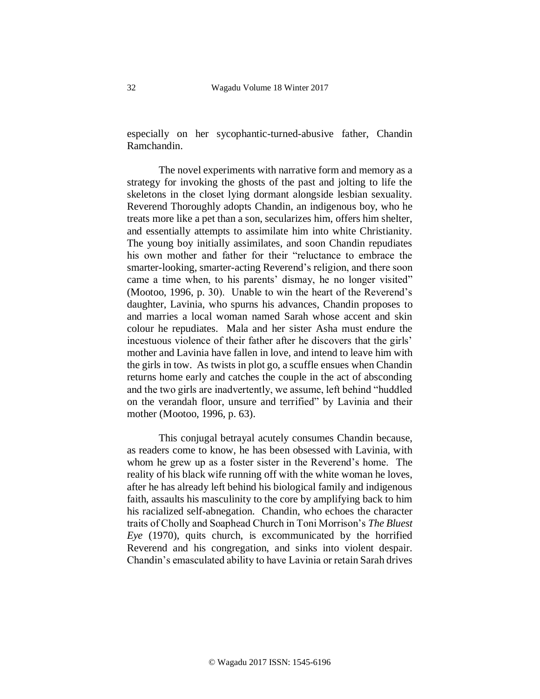especially on her sycophantic-turned-abusive father, Chandin Ramchandin.

The novel experiments with narrative form and memory as a strategy for invoking the ghosts of the past and jolting to life the skeletons in the closet lying dormant alongside lesbian sexuality. Reverend Thoroughly adopts Chandin, an indigenous boy, who he treats more like a pet than a son, secularizes him, offers him shelter, and essentially attempts to assimilate him into white Christianity. The young boy initially assimilates, and soon Chandin repudiates his own mother and father for their "reluctance to embrace the smarter-looking, smarter-acting Reverend's religion, and there soon came a time when, to his parents' dismay, he no longer visited" (Mootoo, 1996, p. 30). Unable to win the heart of the Reverend's daughter, Lavinia, who spurns his advances, Chandin proposes to and marries a local woman named Sarah whose accent and skin colour he repudiates. Mala and her sister Asha must endure the incestuous violence of their father after he discovers that the girls' mother and Lavinia have fallen in love, and intend to leave him with the girls in tow. As twists in plot go, a scuffle ensues when Chandin returns home early and catches the couple in the act of absconding and the two girls are inadvertently, we assume, left behind "huddled on the verandah floor, unsure and terrified" by Lavinia and their mother (Mootoo, 1996, p. 63).

This conjugal betrayal acutely consumes Chandin because, as readers come to know, he has been obsessed with Lavinia, with whom he grew up as a foster sister in the Reverend's home. The reality of his black wife running off with the white woman he loves, after he has already left behind his biological family and indigenous faith, assaults his masculinity to the core by amplifying back to him his racialized self-abnegation. Chandin, who echoes the character traits of Cholly and Soaphead Church in Toni Morrison's *The Bluest Eye* (1970), quits church, is excommunicated by the horrified Reverend and his congregation, and sinks into violent despair. Chandin's emasculated ability to have Lavinia or retain Sarah drives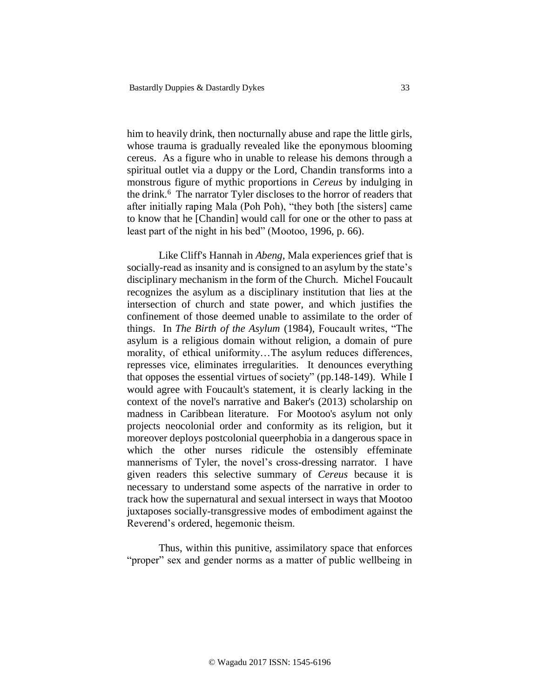him to heavily drink, then nocturnally abuse and rape the little girls, whose trauma is gradually revealed like the eponymous blooming cereus. As a figure who in unable to release his demons through a spiritual outlet via a duppy or the Lord, Chandin transforms into a monstrous figure of mythic proportions in *Cereus* by indulging in the drink.<sup>6</sup> The narrator Tyler discloses to the horror of readers that after initially raping Mala (Poh Poh), "they both [the sisters] came to know that he [Chandin] would call for one or the other to pass at least part of the night in his bed" (Mootoo, 1996, p. 66).

Like Cliff's Hannah in *Abeng*, Mala experiences grief that is socially-read as insanity and is consigned to an asylum by the state's disciplinary mechanism in the form of the Church. Michel Foucault recognizes the asylum as a disciplinary institution that lies at the intersection of church and state power, and which justifies the confinement of those deemed unable to assimilate to the order of things. In *The Birth of the Asylum* (1984), Foucault writes, "The asylum is a religious domain without religion, a domain of pure morality, of ethical uniformity…The asylum reduces differences, represses vice, eliminates irregularities. It denounces everything that opposes the essential virtues of society" (pp.148-149). While I would agree with Foucault's statement, it is clearly lacking in the context of the novel's narrative and Baker's (2013) scholarship on madness in Caribbean literature. For Mootoo's asylum not only projects neocolonial order and conformity as its religion, but it moreover deploys postcolonial queerphobia in a dangerous space in which the other nurses ridicule the ostensibly effeminate mannerisms of Tyler, the novel's cross-dressing narrator. I have given readers this selective summary of *Cereus* because it is necessary to understand some aspects of the narrative in order to track how the supernatural and sexual intersect in ways that Mootoo juxtaposes socially-transgressive modes of embodiment against the Reverend's ordered, hegemonic theism.

Thus, within this punitive, assimilatory space that enforces "proper" sex and gender norms as a matter of public wellbeing in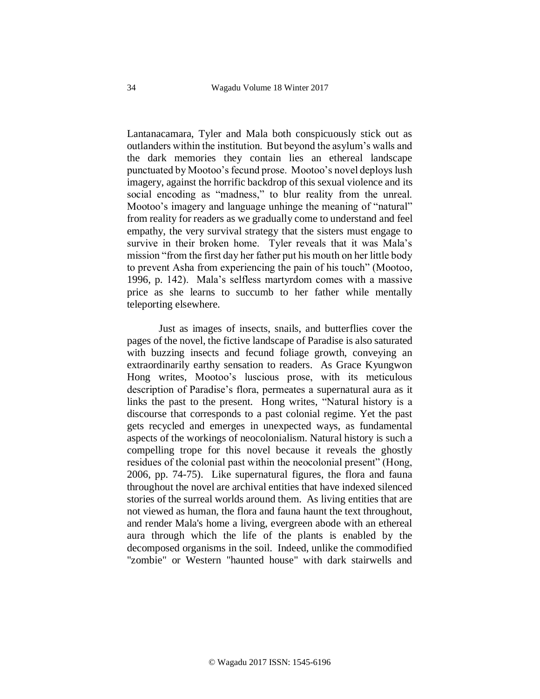Lantanacamara, Tyler and Mala both conspicuously stick out as outlanders within the institution. But beyond the asylum's walls and the dark memories they contain lies an ethereal landscape punctuated by Mootoo's fecund prose. Mootoo's novel deploys lush imagery, against the horrific backdrop of this sexual violence and its social encoding as "madness," to blur reality from the unreal. Mootoo's imagery and language unhinge the meaning of "natural" from reality for readers as we gradually come to understand and feel empathy, the very survival strategy that the sisters must engage to survive in their broken home. Tyler reveals that it was Mala's mission "from the first day her father put his mouth on her little body to prevent Asha from experiencing the pain of his touch" (Mootoo, 1996, p. 142). Mala's selfless martyrdom comes with a massive price as she learns to succumb to her father while mentally teleporting elsewhere.

Just as images of insects, snails, and butterflies cover the pages of the novel, the fictive landscape of Paradise is also saturated with buzzing insects and fecund foliage growth, conveying an extraordinarily earthy sensation to readers. As Grace Kyungwon Hong writes, Mootoo's luscious prose, with its meticulous description of Paradise's flora, permeates a supernatural aura as it links the past to the present. Hong writes, "Natural history is a discourse that corresponds to a past colonial regime. Yet the past gets recycled and emerges in unexpected ways, as fundamental aspects of the workings of neocolonialism. Natural history is such a compelling trope for this novel because it reveals the ghostly residues of the colonial past within the neocolonial present" (Hong, 2006, pp. 74-75). Like supernatural figures, the flora and fauna throughout the novel are archival entities that have indexed silenced stories of the surreal worlds around them. As living entities that are not viewed as human, the flora and fauna haunt the text throughout, and render Mala's home a living, evergreen abode with an ethereal aura through which the life of the plants is enabled by the decomposed organisms in the soil. Indeed, unlike the commodified "zombie" or Western "haunted house" with dark stairwells and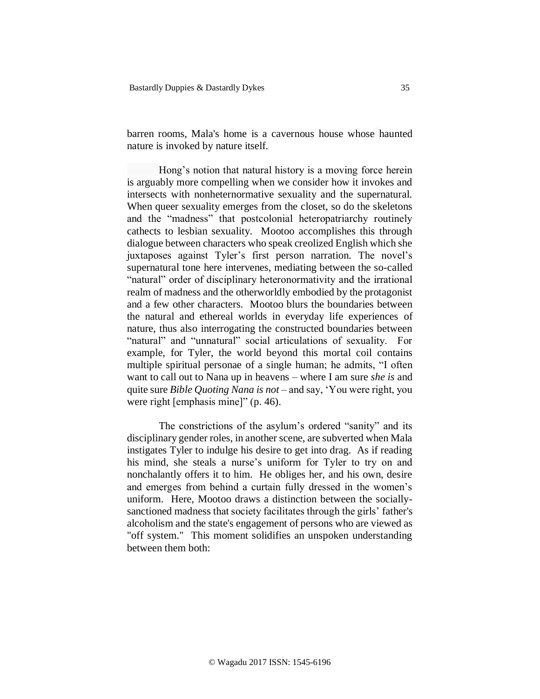barren rooms, Mala's home is a cavernous house whose haunted nature is invoked by nature itself.

Hong's notion that natural history is a moving force herein is arguably more compelling when we consider how it invokes and intersects with nonheternormative sexuality and the supernatural. When queer sexuality emerges from the closet, so do the skeletons and the "madness" that postcolonial heteropatriarchy routinely cathects to lesbian sexuality. Mootoo accomplishes this through dialogue between characters who speak creolized English which she juxtaposes against Tyler's first person narration. The novel's supernatural tone here intervenes, mediating between the so-called "natural" order of disciplinary heteronormativity and the irrational realm of madness and the otherworldly embodied by the protagonist and a few other characters. Mootoo blurs the boundaries between the natural and ethereal worlds in everyday life experiences of nature, thus also interrogating the constructed boundaries between "natural" and "unnatural" social articulations of sexuality. For example, for Tyler, the world beyond this mortal coil contains multiple spiritual personae of a single human; he admits, "I often want to call out to Nana up in heavens – where I am sure *she is* and quite sure *Bible Quoting Nana is not* – and say, 'You were right, you were right [emphasis mine]" (p. 46).

The constrictions of the asylum's ordered "sanity" and its disciplinary gender roles, in another scene, are subverted when Mala instigates Tyler to indulge his desire to get into drag. As if reading his mind, she steals a nurse's uniform for Tyler to try on and nonchalantly offers it to him. He obliges her, and his own, desire and emerges from behind a curtain fully dressed in the women's uniform. Here, Mootoo draws a distinction between the sociallysanctioned madness that society facilitates through the girls' father's alcoholism and the state's engagement of persons who are viewed as "off system." This moment solidifies an unspoken understanding between them both: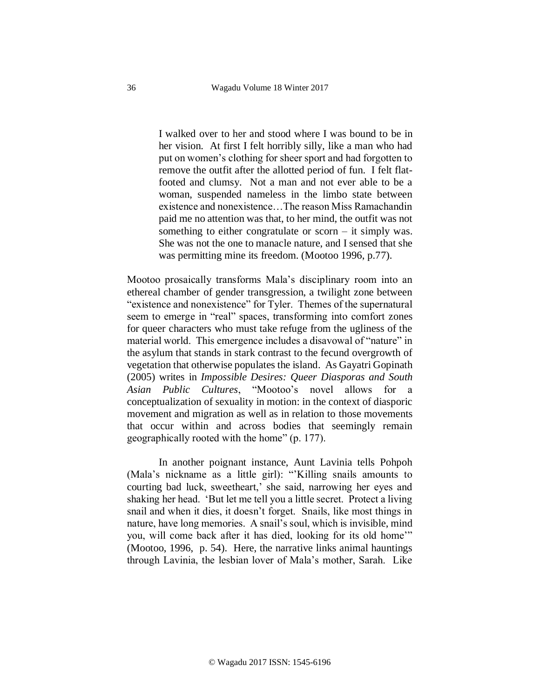I walked over to her and stood where I was bound to be in her vision. At first I felt horribly silly, like a man who had put on women's clothing for sheer sport and had forgotten to remove the outfit after the allotted period of fun. I felt flatfooted and clumsy. Not a man and not ever able to be a woman, suspended nameless in the limbo state between existence and nonexistence…The reason Miss Ramachandin paid me no attention was that, to her mind, the outfit was not something to either congratulate or scorn – it simply was. She was not the one to manacle nature, and I sensed that she was permitting mine its freedom. (Mootoo 1996, p.77).

Mootoo prosaically transforms Mala's disciplinary room into an ethereal chamber of gender transgression, a twilight zone between "existence and nonexistence" for Tyler. Themes of the supernatural seem to emerge in "real" spaces, transforming into comfort zones for queer characters who must take refuge from the ugliness of the material world. This emergence includes a disavowal of "nature" in the asylum that stands in stark contrast to the fecund overgrowth of vegetation that otherwise populates the island. As Gayatri Gopinath (2005) writes in *Impossible Desires: Queer Diasporas and South Asian Public Cultures*, "Mootoo's novel allows for a conceptualization of sexuality in motion: in the context of diasporic movement and migration as well as in relation to those movements that occur within and across bodies that seemingly remain geographically rooted with the home" (p. 177).

In another poignant instance, Aunt Lavinia tells Pohpoh (Mala's nickname as a little girl): "'Killing snails amounts to courting bad luck, sweetheart,' she said, narrowing her eyes and shaking her head. 'But let me tell you a little secret. Protect a living snail and when it dies, it doesn't forget. Snails, like most things in nature, have long memories. A snail's soul, which is invisible, mind you, will come back after it has died, looking for its old home'" (Mootoo, 1996, p. 54). Here, the narrative links animal hauntings through Lavinia, the lesbian lover of Mala's mother, Sarah. Like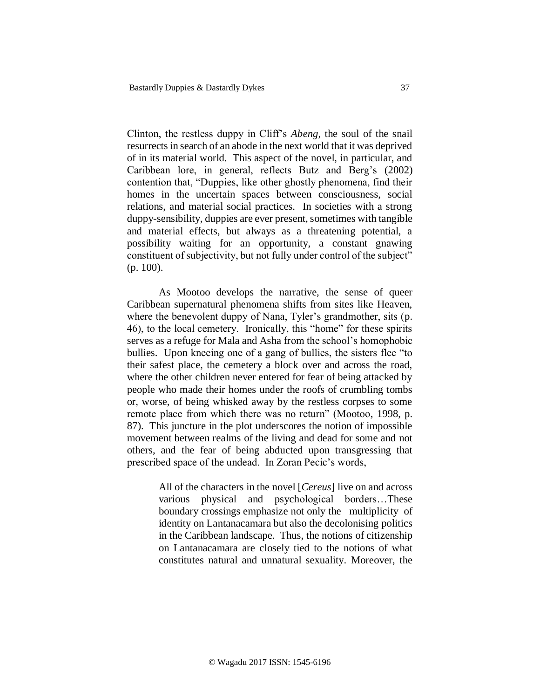Clinton, the restless duppy in Cliff's *Abeng*, the soul of the snail resurrects in search of an abode in the next world that it was deprived of in its material world. This aspect of the novel, in particular, and Caribbean lore, in general, reflects Butz and Berg's (2002) contention that, "Duppies, like other ghostly phenomena, find their homes in the uncertain spaces between consciousness, social relations, and material social practices. In societies with a strong duppy-sensibility, duppies are ever present, sometimes with tangible and material effects, but always as a threatening potential, a possibility waiting for an opportunity, a constant gnawing constituent of subjectivity, but not fully under control of the subject" (p. 100).

As Mootoo develops the narrative, the sense of queer Caribbean supernatural phenomena shifts from sites like Heaven, where the benevolent duppy of Nana, Tyler's grandmother, sits (p. 46), to the local cemetery. Ironically, this "home" for these spirits serves as a refuge for Mala and Asha from the school's homophobic bullies. Upon kneeing one of a gang of bullies, the sisters flee "to their safest place, the cemetery a block over and across the road, where the other children never entered for fear of being attacked by people who made their homes under the roofs of crumbling tombs or, worse, of being whisked away by the restless corpses to some remote place from which there was no return" (Mootoo, 1998, p. 87). This juncture in the plot underscores the notion of impossible movement between realms of the living and dead for some and not others, and the fear of being abducted upon transgressing that prescribed space of the undead. In Zoran Pecic's words,

> All of the characters in the novel [*Cereus*] live on and across various physical and psychological borders…These boundary crossings emphasize not only the multiplicity of identity on Lantanacamara but also the decolonising politics in the Caribbean landscape. Thus, the notions of citizenship on Lantanacamara are closely tied to the notions of what constitutes natural and unnatural sexuality. Moreover, the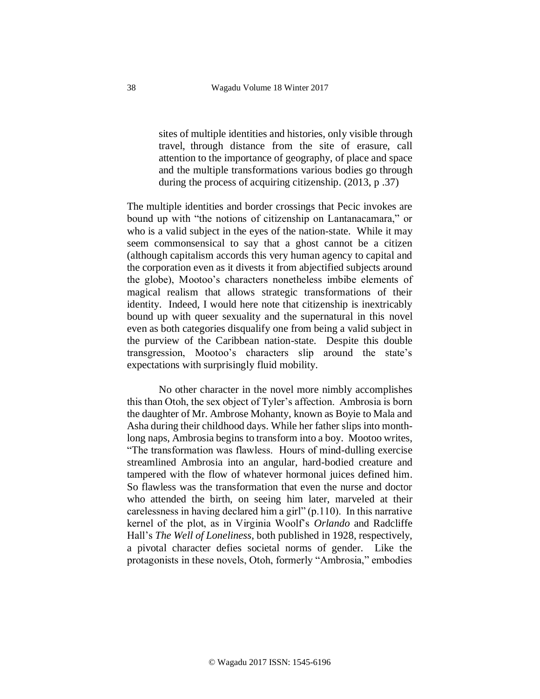sites of multiple identities and histories, only visible through travel, through distance from the site of erasure, call attention to the importance of geography, of place and space and the multiple transformations various bodies go through during the process of acquiring citizenship. (2013, p .37)

The multiple identities and border crossings that Pecic invokes are bound up with "the notions of citizenship on Lantanacamara," or who is a valid subject in the eyes of the nation-state. While it may seem commonsensical to say that a ghost cannot be a citizen (although capitalism accords this very human agency to capital and the corporation even as it divests it from abjectified subjects around the globe), Mootoo's characters nonetheless imbibe elements of magical realism that allows strategic transformations of their identity. Indeed, I would here note that citizenship is inextricably bound up with queer sexuality and the supernatural in this novel even as both categories disqualify one from being a valid subject in the purview of the Caribbean nation-state. Despite this double transgression, Mootoo's characters slip around the state's expectations with surprisingly fluid mobility.

No other character in the novel more nimbly accomplishes this than Otoh, the sex object of Tyler's affection. Ambrosia is born the daughter of Mr. Ambrose Mohanty, known as Boyie to Mala and Asha during their childhood days. While her father slips into monthlong naps, Ambrosia begins to transform into a boy. Mootoo writes, "The transformation was flawless. Hours of mind-dulling exercise streamlined Ambrosia into an angular, hard-bodied creature and tampered with the flow of whatever hormonal juices defined him. So flawless was the transformation that even the nurse and doctor who attended the birth, on seeing him later, marveled at their carelessness in having declared him a girl" (p.110). In this narrative kernel of the plot, as in Virginia Woolf's *Orlando* and Radcliffe Hall's *The Well of Loneliness*, both published in 1928, respectively, a pivotal character defies societal norms of gender. Like the protagonists in these novels, Otoh, formerly "Ambrosia," embodies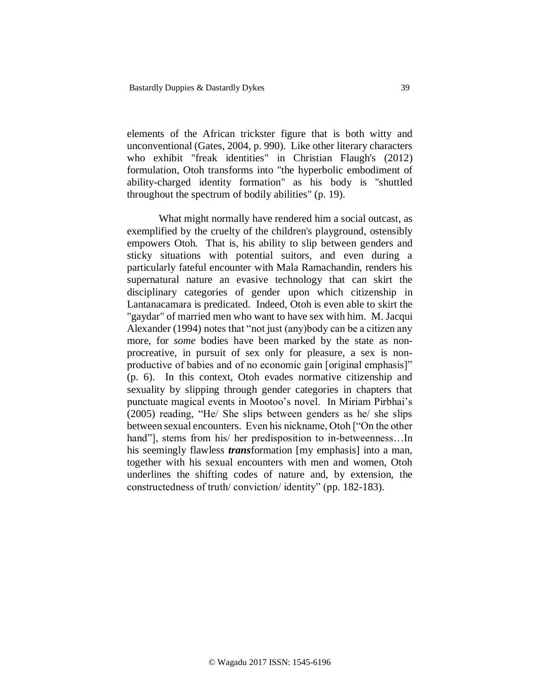elements of the African trickster figure that is both witty and unconventional (Gates, 2004, p. 990). Like other literary characters who exhibit "freak identities" in Christian Flaugh's (2012) formulation, Otoh transforms into "the hyperbolic embodiment of ability-charged identity formation" as his body is "shuttled throughout the spectrum of bodily abilities" (p. 19).

What might normally have rendered him a social outcast, as exemplified by the cruelty of the children's playground, ostensibly empowers Otoh. That is, his ability to slip between genders and sticky situations with potential suitors, and even during a particularly fateful encounter with Mala Ramachandin, renders his supernatural nature an evasive technology that can skirt the disciplinary categories of gender upon which citizenship in Lantanacamara is predicated. Indeed, Otoh is even able to skirt the "gaydar" of married men who want to have sex with him. M. Jacqui Alexander (1994) notes that "not just (any)body can be a citizen any more, for *some* bodies have been marked by the state as nonprocreative, in pursuit of sex only for pleasure, a sex is nonproductive of babies and of no economic gain [original emphasis]" (p. 6). In this context, Otoh evades normative citizenship and sexuality by slipping through gender categories in chapters that punctuate magical events in Mootoo's novel. In Miriam Pirbhai's (2005) reading, "He/ She slips between genders as he/ she slips between sexual encounters. Even his nickname, Otoh ["On the other hand"], stems from his/ her predisposition to in-betweenness...In his seemingly flawless *trans*formation [my emphasis] into a man, together with his sexual encounters with men and women, Otoh underlines the shifting codes of nature and, by extension, the constructedness of truth/ conviction/ identity" (pp. 182-183).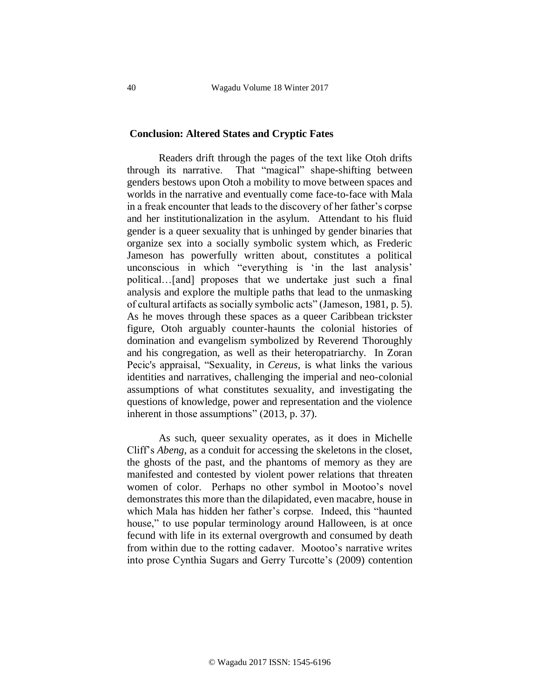#### **Conclusion: Altered States and Cryptic Fates**

 Readers drift through the pages of the text like Otoh drifts through its narrative. That "magical" shape-shifting between genders bestows upon Otoh a mobility to move between spaces and worlds in the narrative and eventually come face-to-face with Mala in a freak encounter that leads to the discovery of her father's corpse and her institutionalization in the asylum. Attendant to his fluid gender is a queer sexuality that is unhinged by gender binaries that organize sex into a socially symbolic system which, as Frederic Jameson has powerfully written about, constitutes a political unconscious in which "everything is 'in the last analysis' political…[and] proposes that we undertake just such a final analysis and explore the multiple paths that lead to the unmasking of cultural artifacts as socially symbolic acts" (Jameson, 1981, p. 5). As he moves through these spaces as a queer Caribbean trickster figure, Otoh arguably counter-haunts the colonial histories of domination and evangelism symbolized by Reverend Thoroughly and his congregation, as well as their heteropatriarchy. In Zoran Pecic's appraisal, "Sexuality, in *Cereus*, is what links the various identities and narratives, challenging the imperial and neo-colonial assumptions of what constitutes sexuality, and investigating the questions of knowledge, power and representation and the violence inherent in those assumptions" (2013, p. 37).

As such, queer sexuality operates, as it does in Michelle Cliff's *Abeng*, as a conduit for accessing the skeletons in the closet, the ghosts of the past, and the phantoms of memory as they are manifested and contested by violent power relations that threaten women of color. Perhaps no other symbol in Mootoo's novel demonstrates this more than the dilapidated, even macabre, house in which Mala has hidden her father's corpse. Indeed, this "haunted house," to use popular terminology around Halloween, is at once fecund with life in its external overgrowth and consumed by death from within due to the rotting cadaver. Mootoo's narrative writes into prose Cynthia Sugars and Gerry Turcotte's (2009) contention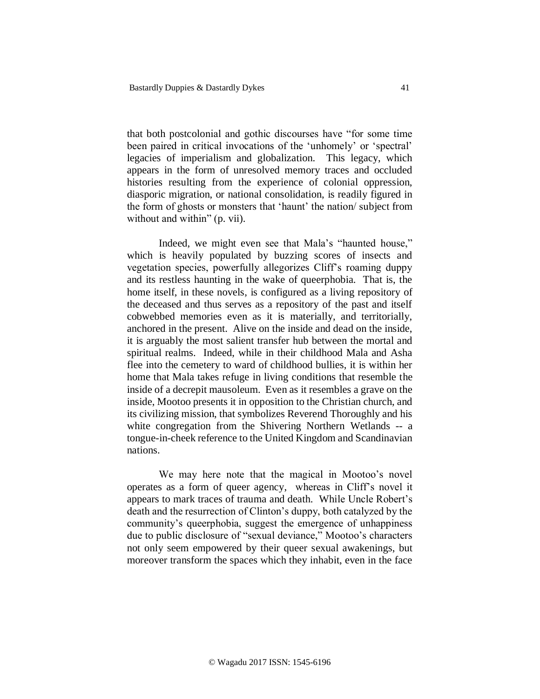that both postcolonial and gothic discourses have "for some time been paired in critical invocations of the 'unhomely' or 'spectral' legacies of imperialism and globalization. This legacy, which appears in the form of unresolved memory traces and occluded histories resulting from the experience of colonial oppression, diasporic migration, or national consolidation, is readily figured in the form of ghosts or monsters that 'haunt' the nation/ subject from without and within" (p. vii).

Indeed, we might even see that Mala's "haunted house," which is heavily populated by buzzing scores of insects and vegetation species, powerfully allegorizes Cliff's roaming duppy and its restless haunting in the wake of queerphobia. That is, the home itself, in these novels, is configured as a living repository of the deceased and thus serves as a repository of the past and itself cobwebbed memories even as it is materially, and territorially, anchored in the present. Alive on the inside and dead on the inside, it is arguably the most salient transfer hub between the mortal and spiritual realms. Indeed, while in their childhood Mala and Asha flee into the cemetery to ward of childhood bullies, it is within her home that Mala takes refuge in living conditions that resemble the inside of a decrepit mausoleum. Even as it resembles a grave on the inside, Mootoo presents it in opposition to the Christian church, and its civilizing mission, that symbolizes Reverend Thoroughly and his white congregation from the Shivering Northern Wetlands -- a tongue-in-cheek reference to the United Kingdom and Scandinavian nations.

We may here note that the magical in Mootoo's novel operates as a form of queer agency, whereas in Cliff's novel it appears to mark traces of trauma and death. While Uncle Robert's death and the resurrection of Clinton's duppy, both catalyzed by the community's queerphobia, suggest the emergence of unhappiness due to public disclosure of "sexual deviance," Mootoo's characters not only seem empowered by their queer sexual awakenings, but moreover transform the spaces which they inhabit, even in the face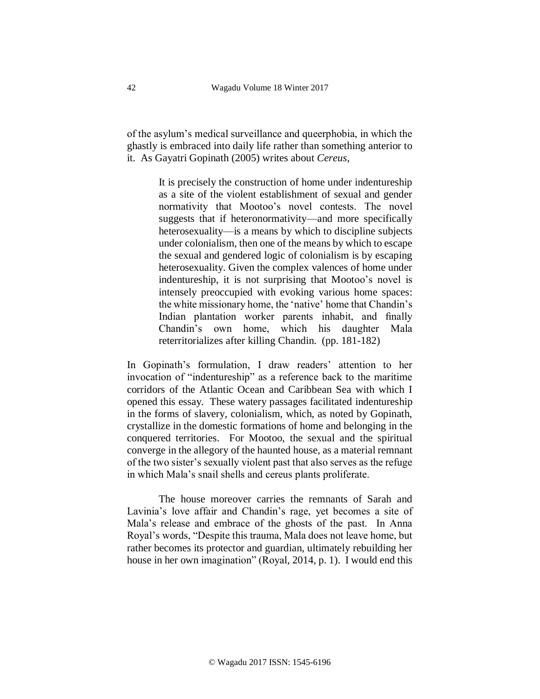of the asylum's medical surveillance and queerphobia, in which the ghastly is embraced into daily life rather than something anterior to it. As Gayatri Gopinath (2005) writes about *Cereus*,

> It is precisely the construction of home under indentureship as a site of the violent establishment of sexual and gender normativity that Mootoo's novel contests. The novel suggests that if heteronormativity—and more specifically heterosexuality—is a means by which to discipline subjects under colonialism, then one of the means by which to escape the sexual and gendered logic of colonialism is by escaping heterosexuality. Given the complex valences of home under indentureship, it is not surprising that Mootoo's novel is intensely preoccupied with evoking various home spaces: the white missionary home, the 'native' home that Chandin's Indian plantation worker parents inhabit, and finally Chandin's own home, which his daughter Mala reterritorializes after killing Chandin. (pp. 181-182)

In Gopinath's formulation, I draw readers' attention to her invocation of "indentureship" as a reference back to the maritime corridors of the Atlantic Ocean and Caribbean Sea with which I opened this essay. These watery passages facilitated indentureship in the forms of slavery, colonialism, which, as noted by Gopinath, crystallize in the domestic formations of home and belonging in the conquered territories. For Mootoo, the sexual and the spiritual converge in the allegory of the haunted house, as a material remnant of the two sister's sexually violent past that also serves as the refuge in which Mala's snail shells and cereus plants proliferate.

The house moreover carries the remnants of Sarah and Lavinia's love affair and Chandin's rage, yet becomes a site of Mala's release and embrace of the ghosts of the past. In Anna Royal's words, "Despite this trauma, Mala does not leave home, but rather becomes its protector and guardian, ultimately rebuilding her house in her own imagination" (Royal, 2014, p. 1). I would end this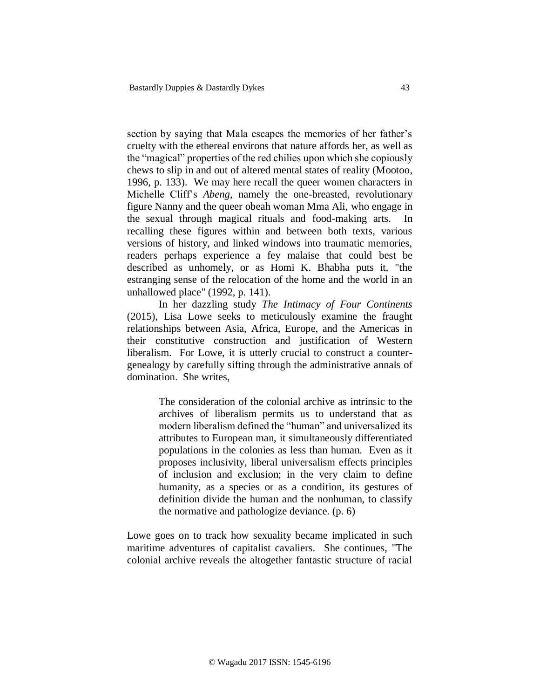section by saying that Mala escapes the memories of her father's cruelty with the ethereal environs that nature affords her, as well as the "magical" properties of the red chilies upon which she copiously chews to slip in and out of altered mental states of reality (Mootoo, 1996, p. 133). We may here recall the queer women characters in Michelle Cliff's *Abeng*, namely the one-breasted, revolutionary figure Nanny and the queer obeah woman Mma Ali, who engage in the sexual through magical rituals and food-making arts. In recalling these figures within and between both texts, various versions of history, and linked windows into traumatic memories, readers perhaps experience a fey malaise that could best be described as unhomely, or as Homi K. Bhabha puts it, "the estranging sense of the relocation of the home and the world in an unhallowed place" (1992, p. 141).

In her dazzling study *The Intimacy of Four Continents*  (2015), Lisa Lowe seeks to meticulously examine the fraught relationships between Asia, Africa, Europe, and the Americas in their constitutive construction and justification of Western liberalism. For Lowe, it is utterly crucial to construct a countergenealogy by carefully sifting through the administrative annals of domination. She writes,

> The consideration of the colonial archive as intrinsic to the archives of liberalism permits us to understand that as modern liberalism defined the "human" and universalized its attributes to European man, it simultaneously differentiated populations in the colonies as less than human. Even as it proposes inclusivity, liberal universalism effects principles of inclusion and exclusion; in the very claim to define humanity, as a species or as a condition, its gestures of definition divide the human and the nonhuman, to classify the normative and pathologize deviance. (p. 6)

Lowe goes on to track how sexuality became implicated in such maritime adventures of capitalist cavaliers. She continues, "The colonial archive reveals the altogether fantastic structure of racial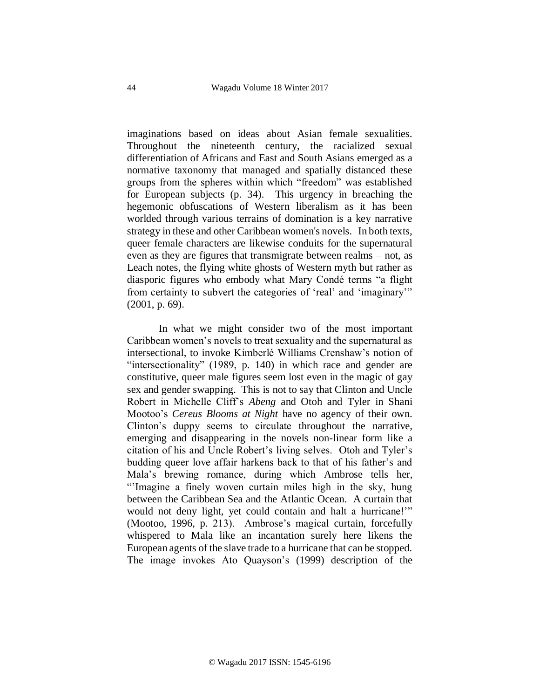imaginations based on ideas about Asian female sexualities. Throughout the nineteenth century, the racialized sexual differentiation of Africans and East and South Asians emerged as a normative taxonomy that managed and spatially distanced these groups from the spheres within which "freedom" was established for European subjects (p. 34). This urgency in breaching the hegemonic obfuscations of Western liberalism as it has been worlded through various terrains of domination is a key narrative strategy in these and other Caribbean women's novels. In both texts, queer female characters are likewise conduits for the supernatural even as they are figures that transmigrate between realms – not, as Leach notes, the flying white ghosts of Western myth but rather as diasporic figures who embody what Mary Condé terms "a flight from certainty to subvert the categories of 'real' and 'imaginary'" (2001, p. 69).

In what we might consider two of the most important Caribbean women's novels to treat sexuality and the supernatural as intersectional, to invoke Kimberlé Williams Crenshaw's notion of "intersectionality" (1989, p. 140) in which race and gender are constitutive, queer male figures seem lost even in the magic of gay sex and gender swapping. This is not to say that Clinton and Uncle Robert in Michelle Cliff's *Abeng* and Otoh and Tyler in Shani Mootoo's *Cereus Blooms at Night* have no agency of their own. Clinton's duppy seems to circulate throughout the narrative, emerging and disappearing in the novels non-linear form like a citation of his and Uncle Robert's living selves. Otoh and Tyler's budding queer love affair harkens back to that of his father's and Mala's brewing romance, during which Ambrose tells her, "'Imagine a finely woven curtain miles high in the sky, hung between the Caribbean Sea and the Atlantic Ocean. A curtain that would not deny light, yet could contain and halt a hurricane!'" (Mootoo, 1996, p. 213). Ambrose's magical curtain, forcefully whispered to Mala like an incantation surely here likens the European agents of the slave trade to a hurricane that can be stopped. The image invokes Ato Quayson's (1999) description of the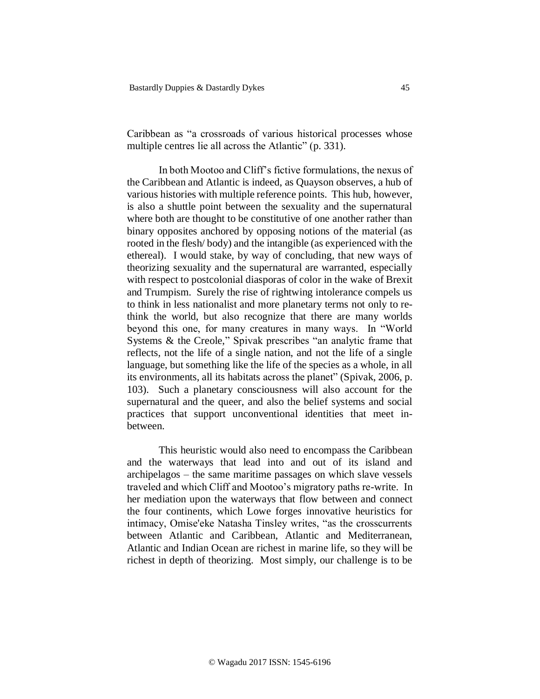Caribbean as "a crossroads of various historical processes whose multiple centres lie all across the Atlantic" (p. 331).

In both Mootoo and Cliff's fictive formulations, the nexus of the Caribbean and Atlantic is indeed, as Quayson observes, a hub of various histories with multiple reference points. This hub, however, is also a shuttle point between the sexuality and the supernatural where both are thought to be constitutive of one another rather than binary opposites anchored by opposing notions of the material (as rooted in the flesh/ body) and the intangible (as experienced with the ethereal). I would stake, by way of concluding, that new ways of theorizing sexuality and the supernatural are warranted, especially with respect to postcolonial diasporas of color in the wake of Brexit and Trumpism. Surely the rise of rightwing intolerance compels us to think in less nationalist and more planetary terms not only to rethink the world, but also recognize that there are many worlds beyond this one, for many creatures in many ways. In "World Systems & the Creole," Spivak prescribes "an analytic frame that reflects, not the life of a single nation, and not the life of a single language, but something like the life of the species as a whole, in all its environments, all its habitats across the planet" (Spivak, 2006, p. 103). Such a planetary consciousness will also account for the supernatural and the queer, and also the belief systems and social practices that support unconventional identities that meet inbetween.

This heuristic would also need to encompass the Caribbean and the waterways that lead into and out of its island and archipelagos – the same maritime passages on which slave vessels traveled and which Cliff and Mootoo's migratory paths re-write. In her mediation upon the waterways that flow between and connect the four continents, which Lowe forges innovative heuristics for intimacy, Omise'eke Natasha Tinsley writes, "as the crosscurrents between Atlantic and Caribbean, Atlantic and Mediterranean, Atlantic and Indian Ocean are richest in marine life, so they will be richest in depth of theorizing. Most simply, our challenge is to be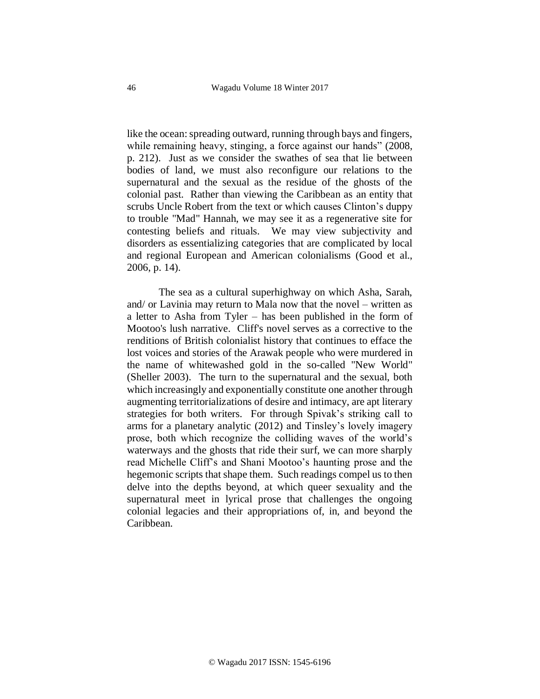like the ocean: spreading outward, running through bays and fingers, while remaining heavy, stinging, a force against our hands" (2008, p. 212). Just as we consider the swathes of sea that lie between bodies of land, we must also reconfigure our relations to the supernatural and the sexual as the residue of the ghosts of the colonial past. Rather than viewing the Caribbean as an entity that scrubs Uncle Robert from the text or which causes Clinton's duppy to trouble "Mad" Hannah, we may see it as a regenerative site for contesting beliefs and rituals. We may view subjectivity and disorders as essentializing categories that are complicated by local and regional European and American colonialisms (Good et al., 2006, p. 14).

The sea as a cultural superhighway on which Asha, Sarah, and/ or Lavinia may return to Mala now that the novel – written as a letter to Asha from Tyler – has been published in the form of Mootoo's lush narrative. Cliff's novel serves as a corrective to the renditions of British colonialist history that continues to efface the lost voices and stories of the Arawak people who were murdered in the name of whitewashed gold in the so-called "New World" (Sheller 2003). The turn to the supernatural and the sexual, both which increasingly and exponentially constitute one another through augmenting territorializations of desire and intimacy, are apt literary strategies for both writers. For through Spivak's striking call to arms for a planetary analytic (2012) and Tinsley's lovely imagery prose, both which recognize the colliding waves of the world's waterways and the ghosts that ride their surf, we can more sharply read Michelle Cliff's and Shani Mootoo's haunting prose and the hegemonic scripts that shape them. Such readings compel us to then delve into the depths beyond, at which queer sexuality and the supernatural meet in lyrical prose that challenges the ongoing colonial legacies and their appropriations of, in, and beyond the Caribbean.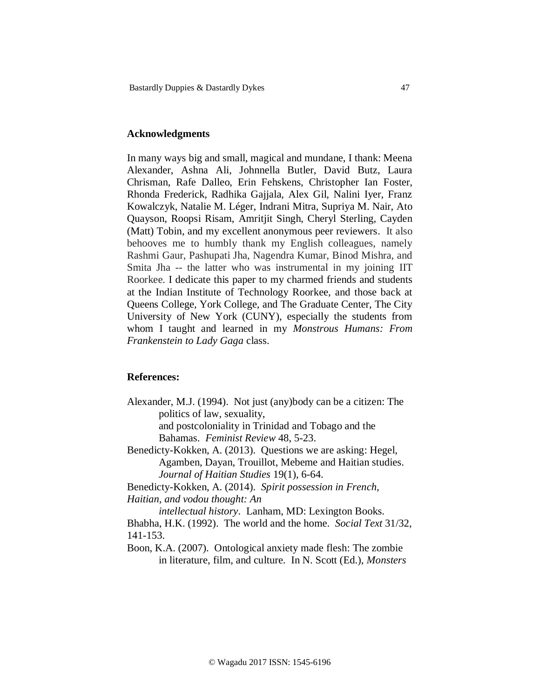### **Acknowledgments**

In many ways big and small, magical and mundane, I thank: Meena Alexander, Ashna Ali, Johnnella Butler, David Butz, Laura Chrisman, Rafe Dalleo, Erin Fehskens, Christopher Ian Foster, Rhonda Frederick, Radhika Gajjala, Alex Gil, Nalini Iyer, Franz Kowalczyk, Natalie M. Léger, Indrani Mitra, Supriya M. Nair, Ato Quayson, Roopsi Risam, Amritjit Singh, Cheryl Sterling, Cayden (Matt) Tobin, and my excellent anonymous peer reviewers. It also behooves me to humbly thank my English colleagues, namely Rashmi Gaur, Pashupati Jha, Nagendra Kumar, Binod Mishra, and Smita Jha -- the latter who was instrumental in my joining IIT Roorkee. I dedicate this paper to my charmed friends and students at the Indian Institute of Technology Roorkee, and those back at Queens College, York College, and The Graduate Center, The City University of New York (CUNY), especially the students from whom I taught and learned in my *Monstrous Humans: From Frankenstein to Lady Gaga* class.

### **References:**

Alexander, M.J. (1994). Not just (any)body can be a citizen: The politics of law, sexuality,

> and postcoloniality in Trinidad and Tobago and the Bahamas. *Feminist Review* 48, 5-23.

- Benedicty-Kokken, A. (2013). Questions we are asking: Hegel, Agamben, Dayan, Trouillot, Mebeme and Haitian studies. *Journal of Haitian Studies* 19(1), 6-64.
- Benedicty-Kokken, A. (2014). *Spirit possession in French, Haitian, and vodou thought: An*

*intellectual history*. Lanham, MD: Lexington Books.

Bhabha, H.K. (1992). The world and the home. *Social Text* 31/32, 141-153.

Boon, K.A. (2007). Ontological anxiety made flesh: The zombie in literature, film, and culture. In N. Scott (Ed.), *Monsters*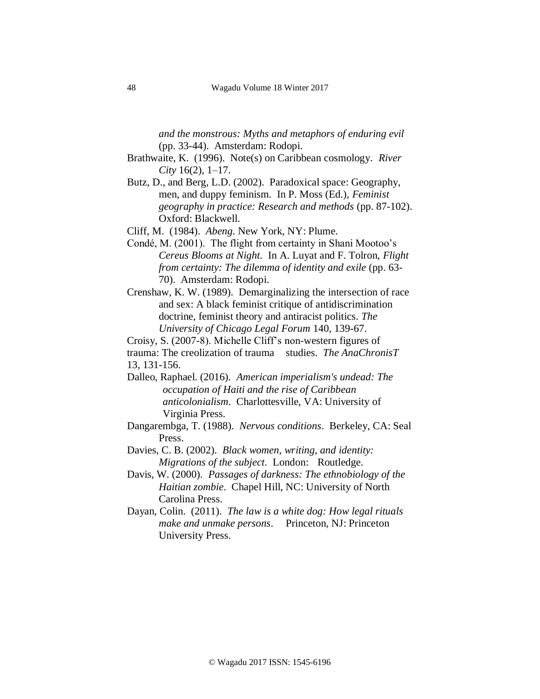*and the monstrous: Myths and metaphors of enduring evil*  (pp. 33-44). Amsterdam: Rodopi.

- Brathwaite, K. (1996). Note(s) on Caribbean cosmology. *River City* 16(2), 1–17.
- Butz, D., and Berg, L.D. (2002). Paradoxical space: Geography, men, and duppy feminism. In P. Moss (Ed.), *Feminist geography in practice: Research and methods* (pp. 87-102). Oxford: Blackwell.
- Cliff, M. (1984). *Abeng*. New York, NY: Plume.
- Condé, M. (2001). The flight from certainty in Shani Mootoo's *Cereus Blooms at Night*. In A. Luyat and F. Tolron, *Flight from certainty: The dilemma of identity and exile* (pp. 63- 70). Amsterdam: Rodopi.
- Crenshaw, K. W. (1989). Demarginalizing the intersection of race and sex: A black feminist critique of antidiscrimination doctrine, feminist theory and antiracist politics. *The University of Chicago Legal Forum* 140, 139-67.

Croisy, S. (2007-8). Michelle Cliff's non-western figures of trauma: The creolization of trauma studies. *The AnaChronisT* 13, 131-156.

- Dalleo, Raphael. (2016). *American imperialism's undead: The occupation of Haiti and the rise of Caribbean anticolonialism*. Charlottesville, VA: University of Virginia Press.
- Dangarembga, T. (1988). *Nervous conditions*. Berkeley, CA: Seal Press.
- Davies, C. B. (2002). *Black women, writing, and identity: Migrations of the subject*. London: Routledge.
- Davis, W. (2000). *Passages of darkness: The ethnobiology of the Haitian zombie*. Chapel Hill, NC: University of North Carolina Press.
- Dayan, Colin. (2011). *The law is a white dog: How legal rituals make and unmake persons*. Princeton, NJ: Princeton University Press.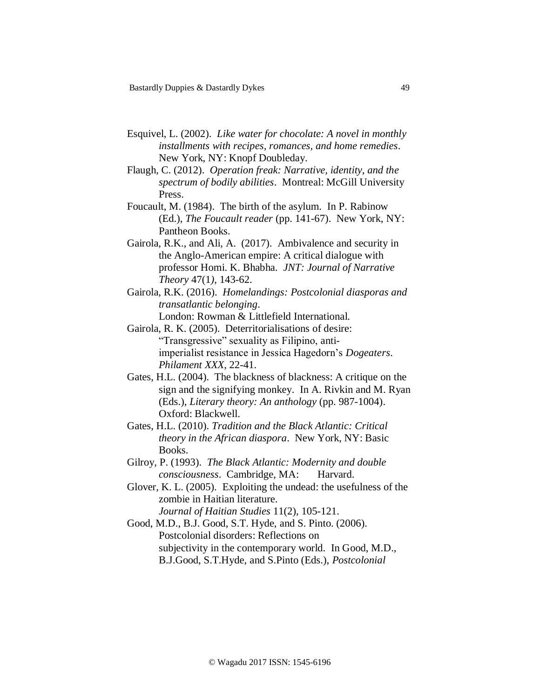- Esquivel, L. (2002). *Like water for chocolate: A novel in monthly installments with recipes, romances, and home remedies*. New York, NY: Knopf Doubleday.
- Flaugh, C. (2012). *Operation freak: Narrative, identity, and the spectrum of bodily abilities*. Montreal: McGill University Press.
- Foucault, M. (1984). The birth of the asylum. In P. Rabinow (Ed.), *The Foucault reader* (pp. 141-67). New York, NY: Pantheon Books.
- Gairola, R.K., and Ali, A. (2017). Ambivalence and security in the Anglo-American empire: A critical dialogue with professor Homi. K. Bhabha. *JNT: Journal of Narrative Theory* 47(1*)*, 143-62.
- Gairola, R.K. (2016). *Homelandings: Postcolonial diasporas and transatlantic belonging*.

London: Rowman & Littlefield International.

- Gairola, R. K. (2005). Deterritorialisations of desire: "Transgressive" sexuality as Filipino, antiimperialist resistance in Jessica Hagedorn's *Dogeaters*. *Philament XXX*, 22-41.
- Gates, H.L. (2004). The blackness of blackness: A critique on the sign and the signifying monkey. In A. Rivkin and M. Ryan (Eds.), *Literary theory: An anthology* (pp. 987-1004). Oxford: Blackwell.
- Gates, H.L. (2010). *Tradition and the Black Atlantic: Critical theory in the African diaspora*. New York, NY: Basic Books.
- Gilroy, P. (1993). *The Black Atlantic: Modernity and double consciousness*. Cambridge, MA: Harvard.
- Glover, K. L. (2005). Exploiting the undead: the usefulness of the zombie in Haitian literature. *Journal of Haitian Studies* 11(2), 105-121.
- Good, M.D., B.J. Good, S.T. Hyde, and S. Pinto. (2006). Postcolonial disorders: Reflections on subjectivity in the contemporary world. In Good, M.D., B.J.Good, S.T.Hyde, and S.Pinto (Eds.), *Postcolonial*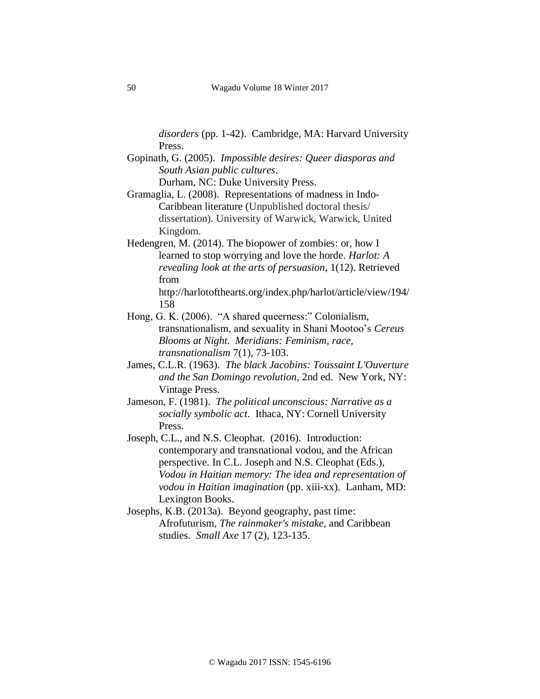*disorders* (pp. 1-42). Cambridge, MA: Harvard University Press.

Gopinath, G. (2005). *Impossible desires: Queer diasporas and South Asian public cultures*.

Durham, NC: Duke University Press.

- Gramaglia, L. (2008). Representations of madness in Indo-Caribbean literature (Unpublished doctoral thesis/ dissertation). University of Warwick, Warwick, United Kingdom.
- Hedengren, M. (2014). The biopower of zombies: or, how I learned to stop worrying and love the horde. *Harlot: A revealing look at the arts of persuasion*, 1(12). Retrieved from

http://harlotofthearts.org/index.php/harlot/article/view/194/ 158

- Hong, G. K. (2006). "A shared queerness:" Colonialism, transnationalism, and sexuality in Shani Mootoo's *Cereus Blooms at Night*. *Meridians: Feminism, race, transnationalism* 7(1), 73-103.
- James, C.L.R. (1963). *The black Jacobins: Toussaint L'Ouverture and the San Domingo revolution*, 2nd ed. New York, NY: Vintage Press.
- Jameson, F. (1981). *The political unconscious: Narrative as a socially symbolic act*. Ithaca, NY: Cornell University Press.
- Joseph, C.L., and N.S. Cleophat. (2016). Introduction: contemporary and transnational vodou, and the African perspective. In C.L. Joseph and N.S. Cleophat (Eds.), *Vodou in Haitian memory: The idea and representation of vodou in Haitian imagination* (pp. xiii-xx). Lanham, MD: Lexington Books.
- Josephs, K.B. (2013a). Beyond geography, past time: Afrofuturism, *The rainmaker's mistake*, and Caribbean studies. *Small Axe* 17 (2), 123-135.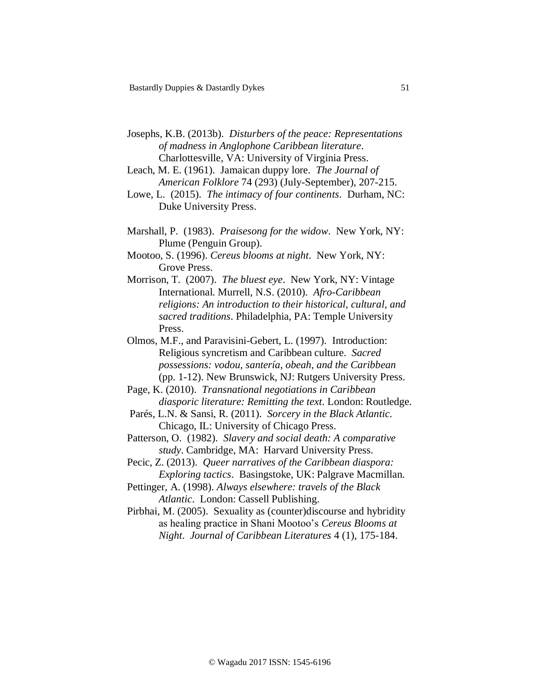- Josephs, K.B. (2013b). *Disturbers of the peace: Representations of madness in Anglophone Caribbean literature*. Charlottesville, VA: University of Virginia Press.
- Leach, M. E. (1961). Jamaican duppy lore. *The Journal of American Folklore* 74 (293) (July-September), 207-215.
- Lowe, L. (2015). *The intimacy of four continents*. Durham, NC: Duke University Press.
- Marshall, P. (1983). *Praisesong for the widow*. New York, NY: Plume (Penguin Group).
- Mootoo, S. (1996). *Cereus blooms at night*. New York, NY: Grove Press.
- Morrison, T. (2007). *The bluest eye*. New York, NY: Vintage International. Murrell, N.S. (2010). *Afro-Caribbean religions: An introduction to their historical, cultural, and sacred traditions*. Philadelphia, PA: Temple University Press.
- Olmos, M.F., and Paravisini-Gebert, L. (1997). Introduction: Religious syncretism and Caribbean culture. *Sacred possessions: vodou, santería*, *obeah, and the Caribbean* (pp. 1-12). New Brunswick, NJ: Rutgers University Press.
- Page, K. (2010). *Transnational negotiations in Caribbean diasporic literature: Remitting the text*. London: Routledge.
- Parés, L.N. & Sansi, R. (2011). *Sorcery in the Black Atlantic*. Chicago, IL: University of Chicago Press.
- Patterson, O. (1982). *Slavery and social death: A comparative study*. Cambridge, MA: Harvard University Press.
- Pecic, Z. (2013). *Queer narratives of the Caribbean diaspora: Exploring tactics*. Basingstoke, UK: Palgrave Macmillan.
- Pettinger, A. (1998). *Always elsewhere: travels of the Black Atlantic*. London: Cassell Publishing.

Pirbhai, M. (2005). Sexuality as (counter)discourse and hybridity as healing practice in Shani Mootoo's *Cereus Blooms at Night*. *Journal of Caribbean Literatures* 4 (1), 175-184.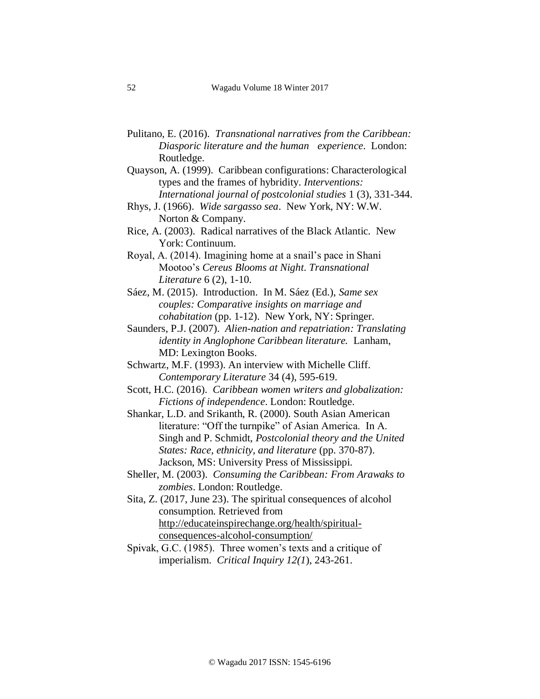- Pulitano, E. (2016). *Transnational narratives from the Caribbean: Diasporic literature and the human experience*. London: Routledge.
- Quayson, A. (1999). Caribbean configurations: Characterological types and the frames of hybridity. *Interventions: International journal of postcolonial studies* 1 (3), 331-344.
- Rhys, J. (1966). *Wide sargasso sea*. New York, NY: W.W. Norton & Company.
- Rice, A. (2003). Radical narratives of the Black Atlantic. New York: Continuum.
- Royal, A. (2014). Imagining home at a snail's pace in Shani Mootoo's *Cereus Blooms at Night*. *Transnational Literature* 6 (2), 1-10.
- Sáez, M. (2015). Introduction. In M. Sáez (Ed.), *Same sex couples: Comparative insights on marriage and cohabitation* (pp. 1-12). New York, NY: Springer.
- Saunders, P.J. (2007). *Alien-nation and repatriation: Translating identity in Anglophone Caribbean literature.* Lanham, MD: Lexington Books.
- Schwartz, M.F. (1993). An interview with Michelle Cliff. *Contemporary Literature* 34 (4), 595-619.
- Scott, H.C. (2016). *Caribbean women writers and globalization: Fictions of independence*. London: Routledge.
- Shankar, L.D. and Srikanth, R. (2000). South Asian American literature: "Off the turnpike" of Asian America. In A. Singh and P. Schmidt, *Postcolonial theory and the United States: Race, ethnicity, and literature* (pp. 370-87). Jackson, MS: University Press of Mississippi.
- Sheller, M. (2003). *Consuming the Caribbean: From Arawaks to zombies*. London: Routledge.
- Sita, Z. (2017, June 23). The spiritual consequences of alcohol consumption. Retrieved from [http://educateinspirechange.org/health/spiritual](http://educateinspirechange.org/health/spiritual-consequences-alcohol-consumption/)[consequences-alcohol-consumption/](http://educateinspirechange.org/health/spiritual-consequences-alcohol-consumption/)
- Spivak, G.C. (1985). Three women's texts and a critique of imperialism. *Critical Inquiry 12(1*), 243-261.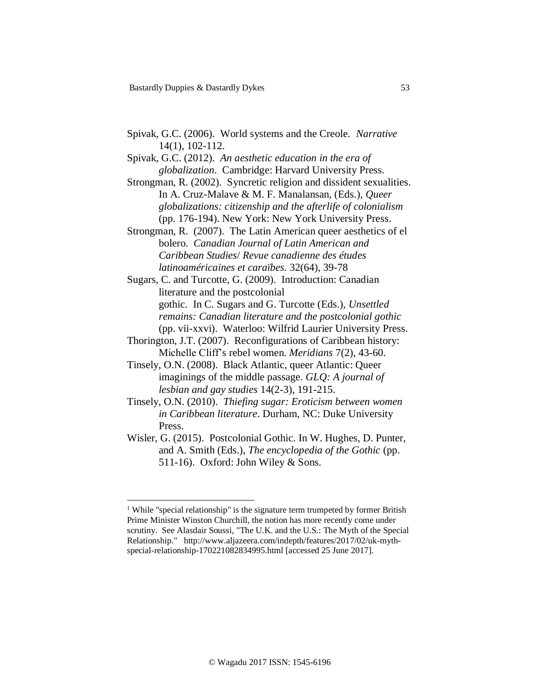- Spivak, G.C. (2006). World systems and the Creole. *Narrative*  14(1), 102-112.
- Spivak, G.C. (2012). *An aesthetic education in the era of globalization*. Cambridge: Harvard University Press.
- Strongman, R. (2002). Syncretic religion and dissident sexualities. In A. Cruz-Malave & M. F. Manalansan, (Eds*.*)*, Queer globalizations: citizenship and the afterlife of colonialism* (pp. 176-194). New York: New York University Press.
- Strongman, R. (2007). The Latin American queer aesthetics of el bolero. *Canadian Journal of Latin American and Caribbean Studies*/ *Revue canadienne des études latinoaméricaines et caraïbes.* 32(64), 39-78

Sugars, C. and Turcotte, G. (2009). Introduction: Canadian literature and the postcolonial gothic. In C. Sugars and G. Turcotte (Eds.), *Unsettled remains: Canadian literature and the postcolonial gothic* (pp. vii-xxvi). Waterloo: Wilfrid Laurier University Press.

- Thorington, J.T. (2007). Reconfigurations of Caribbean history: Michelle Cliff's rebel women. *Meridians* 7(2), 43-60.
- Tinsely, O.N. (2008). Black Atlantic, queer Atlantic: Queer imaginings of the middle passage. *GLQ: A journal of lesbian and gay studies* 14(2-3), 191-215.
- Tinsely, O.N. (2010). *Thiefing sugar: Eroticism between women in Caribbean literature*. Durham, NC: Duke University Press.
- Wisler, G. (2015). Postcolonial Gothic. In W. Hughes, D. Punter, and A. Smith (Eds.), *The encyclopedia of the Gothic* (pp. 511-16). Oxford: John Wiley & Sons.

 $\overline{a}$ 

<sup>&</sup>lt;sup>1</sup> While "special relationship" is the signature term trumpeted by former British Prime Minister Winston Churchill, the notion has more recently come under scrutiny. See Alasdair Soussi, "The U.K. and the U.S.: The Myth of the Special Relationship." http://www.aljazeera.com/indepth/features/2017/02/uk-mythspecial-relationship-170221082834995.html [accessed 25 June 2017].